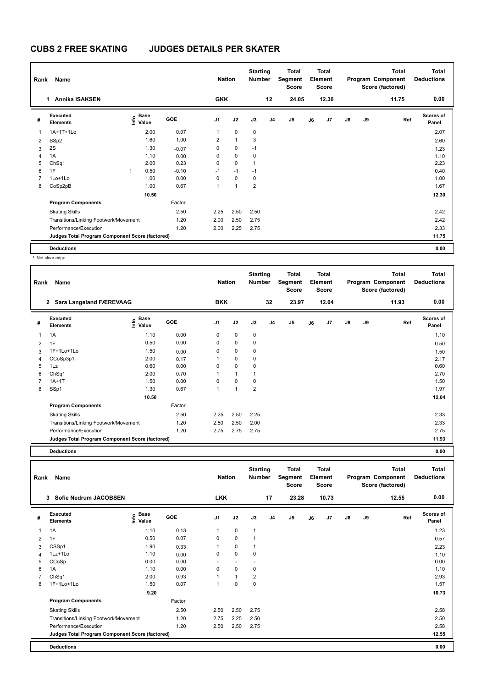| Rank           | Name                                            |                           |         | <b>Nation</b>           |              | <b>Starting</b><br><b>Number</b> |                | Total<br>Segment<br><b>Score</b> |    | Total<br>Element<br>Score |               |    | <b>Total</b><br>Program Component<br>Score (factored) | Total<br><b>Deductions</b> |
|----------------|-------------------------------------------------|---------------------------|---------|-------------------------|--------------|----------------------------------|----------------|----------------------------------|----|---------------------------|---------------|----|-------------------------------------------------------|----------------------------|
|                | <b>Annika ISAKSEN</b><br>1.                     |                           |         | <b>GKK</b>              |              |                                  | 12             | 24.05                            |    | 12.30                     |               |    | 11.75                                                 | 0.00                       |
| #              | Executed<br><b>Elements</b>                     | Base<br>o Base<br>⊆ Value | GOE     | J <sub>1</sub>          | J2           | J3                               | J <sub>4</sub> | J <sub>5</sub>                   | J6 | J7                        | $\mathsf{J}8$ | J9 | Ref                                                   | <b>Scores of</b><br>Panel  |
| 1              | 1A+1T+1Lo                                       | 2.00                      | 0.07    | 1                       | $\mathbf 0$  | 0                                |                |                                  |    |                           |               |    |                                                       | 2.07                       |
| 2              | SSp2                                            | 1.60                      | 1.00    | $\overline{\mathbf{c}}$ | $\mathbf{1}$ | 3                                |                |                                  |    |                           |               |    |                                                       | 2.60                       |
| 3              | 2S                                              | 1.30                      | $-0.07$ | 0                       | $\Omega$     | $-1$                             |                |                                  |    |                           |               |    |                                                       | 1.23                       |
| $\overline{4}$ | 1A                                              | 1.10                      | 0.00    | 0                       | $\mathbf 0$  | $\mathbf 0$                      |                |                                  |    |                           |               |    |                                                       | 1.10                       |
| 5              | ChSq1                                           | 2.00                      | 0.23    | 0                       | $\mathbf 0$  | 1                                |                |                                  |    |                           |               |    |                                                       | 2.23                       |
| 6              | 1F                                              | 0.50                      | $-0.10$ | $-1$                    | $-1$         | $-1$                             |                |                                  |    |                           |               |    |                                                       | 0.40                       |
| 7              | $1$ Lo $+1$ Lo                                  | 1.00                      | 0.00    | 0                       | $\Omega$     | 0                                |                |                                  |    |                           |               |    |                                                       | 1.00                       |
| 8              | CoSp2pB                                         | 1.00                      | 0.67    | 1                       | 1            | 2                                |                |                                  |    |                           |               |    |                                                       | 1.67                       |
|                |                                                 | 10.50                     |         |                         |              |                                  |                |                                  |    |                           |               |    |                                                       | 12.30                      |
|                | <b>Program Components</b>                       |                           | Factor  |                         |              |                                  |                |                                  |    |                           |               |    |                                                       |                            |
|                | <b>Skating Skills</b>                           |                           | 2.50    | 2.25                    | 2.50         | 2.50                             |                |                                  |    |                           |               |    |                                                       | 2.42                       |
|                | Transitions/Linking Footwork/Movement           |                           | 1.20    | 2.00                    | 2.50         | 2.75                             |                |                                  |    |                           |               |    |                                                       | 2.42                       |
|                | Performance/Execution                           |                           | 1.20    | 2.00                    | 2.25         | 2.75                             |                |                                  |    |                           |               |    |                                                       | 2.33                       |
|                | Judges Total Program Component Score (factored) |                           |         |                         |              |                                  |                |                                  |    |                           |               |    |                                                       | 11.75                      |
|                | <b>Deductions</b>                               |                           |         |                         |              |                                  |                |                                  |    |                           |               |    |                                                       | 0.00                       |

! Not clear edge

| Rank           | Name                                            |                              |            | <b>Nation</b>  |                      | <b>Starting</b><br><b>Number</b> |                | <b>Total</b><br>Segment<br><b>Score</b> |    | <b>Total</b><br>Element<br><b>Score</b> |               |    | <b>Total</b><br>Program Component<br>Score (factored) | <b>Total</b><br><b>Deductions</b> |
|----------------|-------------------------------------------------|------------------------------|------------|----------------|----------------------|----------------------------------|----------------|-----------------------------------------|----|-----------------------------------------|---------------|----|-------------------------------------------------------|-----------------------------------|
|                | 2 Sara Langeland FÆREVAAG                       |                              |            | <b>BKK</b>     |                      |                                  | 32             | 23.97                                   |    | 12.04                                   |               |    | 11.93                                                 | 0.00                              |
| #              | Executed<br><b>Elements</b>                     | <b>Base</b><br>١nfo<br>Value | <b>GOE</b> | J <sub>1</sub> | J2                   | J3                               | J <sub>4</sub> | J <sub>5</sub>                          | J6 | J7                                      | $\mathsf{J}8$ | J9 | Ref                                                   | <b>Scores of</b><br>Panel         |
| $\mathbf{1}$   | 1A                                              | 1.10                         | 0.00       | 0              | 0                    | 0                                |                |                                         |    |                                         |               |    |                                                       | 1.10                              |
| $\overline{2}$ | 1F                                              | 0.50                         | 0.00       | 0              | $\mathbf 0$          | 0                                |                |                                         |    |                                         |               |    |                                                       | 0.50                              |
| 3              | 1F+1Lo+1Lo                                      | 1.50                         | 0.00       | 0              | $\mathbf 0$          | 0                                |                |                                         |    |                                         |               |    |                                                       | 1.50                              |
| 4              | CCoSp3p1                                        | 2.00                         | 0.17       |                | 0                    | 0                                |                |                                         |    |                                         |               |    |                                                       | 2.17                              |
| 5              | 1Lz                                             | 0.60                         | 0.00       | $\Omega$       | 0                    | 0                                |                |                                         |    |                                         |               |    |                                                       | 0.60                              |
| 6              | ChSq1                                           | 2.00                         | 0.70       |                | $\blacktriangleleft$ |                                  |                |                                         |    |                                         |               |    |                                                       | 2.70                              |
| 7              | $1A+1T$                                         | 1.50                         | 0.00       | $\Omega$       | $\Omega$             | 0                                |                |                                         |    |                                         |               |    |                                                       | 1.50                              |
| 8              | SSp1                                            | 1.30                         | 0.67       | 1              | $\overline{1}$       | $\overline{2}$                   |                |                                         |    |                                         |               |    |                                                       | 1.97                              |
|                |                                                 | 10.50                        |            |                |                      |                                  |                |                                         |    |                                         |               |    |                                                       | 12.04                             |
|                | <b>Program Components</b>                       |                              | Factor     |                |                      |                                  |                |                                         |    |                                         |               |    |                                                       |                                   |
|                | <b>Skating Skills</b>                           |                              | 2.50       | 2.25           | 2.50                 | 2.25                             |                |                                         |    |                                         |               |    |                                                       | 2.33                              |
|                | Transitions/Linking Footwork/Movement           |                              | 1.20       | 2.50           | 2.50                 | 2.00                             |                |                                         |    |                                         |               |    |                                                       | 2.33                              |
|                | Performance/Execution                           |                              | 1.20       | 2.75           | 2.75                 | 2.75                             |                |                                         |    |                                         |               |    |                                                       | 2.75                              |
|                | Judges Total Program Component Score (factored) |                              |            |                |                      |                                  |                |                                         |    |                                         |               |    |                                                       | 11.93                             |

**Deductions 0.00 Total Deductions Total Program Component Score (factored) Total Element Segment Score Total Score Starting Rank Name Nation Number # Executed Elements Base Value GOE J1 J2 J3 J4 J5 J6 J7 J8 J9 Scores of Panel** 1 1A 1.10 0.13 1 0 1 **Ref**  سان بن المسائلة المسائلة المسائلة المسائلة المسائلة المسائلة المسائلة المسائلة المسائلة المسائلة المسائلة المسا<br>1A 1.10 0.13 1 0 1<br>1A 1.23  **3 Sofie Nedrum JACOBSEN LKK 17 23.28 10.73 12.55 0.00** 2 1F 0.50 0.07 0 0 1 3 CSSp1 1.90 0.33 1 0 1 2.23 4 1Lz+1Lo 1.10 0.00 0 0 0 1.10 5 CCoSp 0.00 0.00 - - - 0.00 6 1A 1.10 0.00 0 0 0 1.10 7 ChSq1 2.00 0.93 1 1 2 2.93 8 1F+1Lo+1Lo 1.50 0.07 1 0 0 1.57  **9.20 10.73 Program Components**  Skating Skills 2.50 2.50 2.75 Factor 2.50 2.58 Transitions/Linking Footwork/Movement 1.20 2.75 2.25 2.50 2.50 Performance/Execution 2.50 2.50 2.50 2.50 2.75 2.58 **Deductions 0.00 Judges Total Program Component Score (factored) 12.55**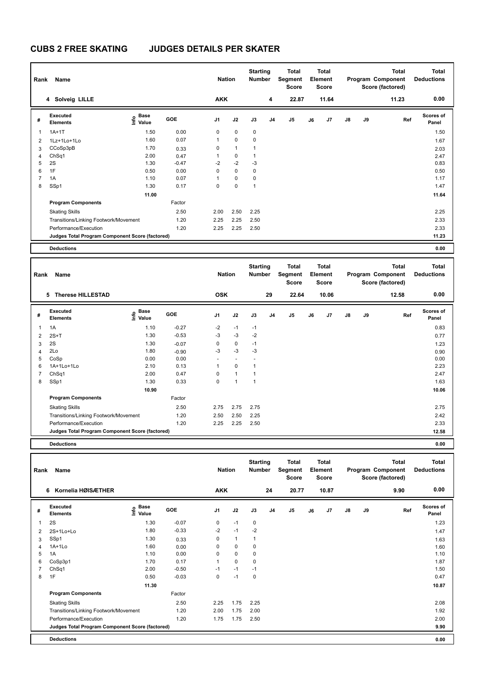| Rank           | Name                                            |                           |         | <b>Nation</b> |              | <b>Starting</b><br>Number |                | Total<br>Segment<br><b>Score</b> |    | <b>Total</b><br>Element<br><b>Score</b> |               |    | <b>Total</b><br>Program Component<br>Score (factored) | <b>Total</b><br><b>Deductions</b> |
|----------------|-------------------------------------------------|---------------------------|---------|---------------|--------------|---------------------------|----------------|----------------------------------|----|-----------------------------------------|---------------|----|-------------------------------------------------------|-----------------------------------|
|                | 4 Solveig LILLE                                 |                           |         | <b>AKK</b>    |              |                           | 4              | 22.87                            |    | 11.64                                   |               |    | 11.23                                                 | 0.00                              |
| #              | Executed<br><b>Elements</b>                     | Base<br>o Base<br>⊆ Value | GOE     | J1            | J2           | J3                        | J <sub>4</sub> | J5                               | J6 | J7                                      | $\mathsf{J}8$ | J9 | Ref                                                   | Scores of<br>Panel                |
| 1              | $1A+1T$                                         | 1.50                      | 0.00    | 0             | $\mathbf 0$  | $\mathbf 0$               |                |                                  |    |                                         |               |    |                                                       | 1.50                              |
| 2              | 1Lz+1Lo+1Lo                                     | 1.60                      | 0.07    | 1             | $\pmb{0}$    | 0                         |                |                                  |    |                                         |               |    |                                                       | 1.67                              |
| 3              | CCoSp3pB                                        | 1.70                      | 0.33    | 0             | $\mathbf{1}$ | 1                         |                |                                  |    |                                         |               |    |                                                       | 2.03                              |
| 4              | ChSq1                                           | 2.00                      | 0.47    | 1             | $\pmb{0}$    | $\mathbf{1}$              |                |                                  |    |                                         |               |    |                                                       | 2.47                              |
| 5              | 2S                                              | 1.30                      | $-0.47$ | $-2$          | $-2$         | $-3$                      |                |                                  |    |                                         |               |    |                                                       | 0.83                              |
| 6              | 1F                                              | 0.50                      | 0.00    | 0             | $\mathbf 0$  | 0                         |                |                                  |    |                                         |               |    |                                                       | 0.50                              |
| $\overline{7}$ | 1A                                              | 1.10                      | 0.07    | 1             | $\mathbf 0$  | 0                         |                |                                  |    |                                         |               |    |                                                       | 1.17                              |
| 8              | SSp1                                            | 1.30                      | 0.17    | 0             | $\mathbf 0$  | 1                         |                |                                  |    |                                         |               |    |                                                       | 1.47                              |
|                |                                                 | 11.00                     |         |               |              |                           |                |                                  |    |                                         |               |    |                                                       | 11.64                             |
|                | <b>Program Components</b>                       |                           | Factor  |               |              |                           |                |                                  |    |                                         |               |    |                                                       |                                   |
|                | <b>Skating Skills</b>                           |                           | 2.50    | 2.00          | 2.50         | 2.25                      |                |                                  |    |                                         |               |    |                                                       | 2.25                              |
|                | Transitions/Linking Footwork/Movement           |                           | 1.20    | 2.25          | 2.25         | 2.50                      |                |                                  |    |                                         |               |    |                                                       | 2.33                              |
|                | Performance/Execution                           |                           | 1.20    | 2.25          | 2.25         | 2.50                      |                |                                  |    |                                         |               |    |                                                       | 2.33                              |
|                | Judges Total Program Component Score (factored) |                           |         |               |              |                           |                |                                  |    |                                         |               |    |                                                       | 11.23                             |
|                | <b>Deductions</b>                               |                           |         |               |              |                           |                |                                  |    |                                         |               |    |                                                       | 0.00                              |

| Rank           | Name                                            |                                  | <b>Nation</b> |                | <b>Starting</b><br><b>Number</b> |      | Total<br>Segment<br><b>Score</b> |       | Total<br>Element<br><b>Score</b> |       |               | <b>Total</b><br>Program Component<br>Score (factored) | <b>Total</b><br><b>Deductions</b> |                           |
|----------------|-------------------------------------------------|----------------------------------|---------------|----------------|----------------------------------|------|----------------------------------|-------|----------------------------------|-------|---------------|-------------------------------------------------------|-----------------------------------|---------------------------|
|                | <b>Therese HILLESTAD</b><br>5.                  |                                  |               | <b>OSK</b>     |                                  |      | 29                               | 22.64 |                                  | 10.06 |               |                                                       | 12.58                             | 0.00                      |
| #              | Executed<br><b>Elements</b>                     | <b>Base</b><br>o Base<br>⊆ Value | GOE           | J <sub>1</sub> | J2                               | J3   | J4                               | J5    | J6                               | J7    | $\mathsf{J}8$ | J9                                                    | Ref                               | <b>Scores of</b><br>Panel |
| 1              | 1A                                              | 1.10                             | $-0.27$       | $-2$           | $-1$                             | $-1$ |                                  |       |                                  |       |               |                                                       |                                   | 0.83                      |
| $\overline{2}$ | $2S+T$                                          | 1.30                             | $-0.53$       | $-3$           | $-3$                             | $-2$ |                                  |       |                                  |       |               |                                                       |                                   | 0.77                      |
| 3              | 2S                                              | 1.30                             | $-0.07$       | $\Omega$       | $\mathbf 0$                      | $-1$ |                                  |       |                                  |       |               |                                                       |                                   | 1.23                      |
| 4              | 2Lo                                             | 1.80                             | $-0.90$       | -3             | $-3$                             | $-3$ |                                  |       |                                  |       |               |                                                       |                                   | 0.90                      |
| 5              | CoSp                                            | 0.00                             | 0.00          |                | $\sim$                           |      |                                  |       |                                  |       |               |                                                       |                                   | 0.00                      |
| 6              | 1A+1Lo+1Lo                                      | 2.10                             | 0.13          | 1              | 0                                | 1    |                                  |       |                                  |       |               |                                                       |                                   | 2.23                      |
| 7              | ChSq1                                           | 2.00                             | 0.47          | $\Omega$       | $\blacktriangleleft$             | 1    |                                  |       |                                  |       |               |                                                       |                                   | 2.47                      |
| 8              | SSp1                                            | 1.30                             | 0.33          | 0              | 1                                | 1    |                                  |       |                                  |       |               |                                                       |                                   | 1.63                      |
|                |                                                 | 10.90                            |               |                |                                  |      |                                  |       |                                  |       |               |                                                       |                                   | 10.06                     |
|                | <b>Program Components</b>                       |                                  | Factor        |                |                                  |      |                                  |       |                                  |       |               |                                                       |                                   |                           |
|                | <b>Skating Skills</b>                           |                                  | 2.50          | 2.75           | 2.75                             | 2.75 |                                  |       |                                  |       |               |                                                       |                                   | 2.75                      |
|                | Transitions/Linking Footwork/Movement           |                                  | 1.20          | 2.50           | 2.50                             | 2.25 |                                  |       |                                  |       |               |                                                       |                                   | 2.42                      |
|                | Performance/Execution                           |                                  | 1.20          | 2.25           | 2.25                             | 2.50 |                                  |       |                                  |       |               |                                                       |                                   | 2.33                      |
|                | Judges Total Program Component Score (factored) |                                  |               |                |                                  |      |                                  |       |                                  |       |               |                                                       |                                   | 12.58                     |
|                |                                                 |                                  |               |                |                                  |      |                                  |       |                                  |       |               |                                                       |                                   |                           |

| Rank | Name                                            |                                           |            | <b>Nation</b>  |              | <b>Starting</b><br><b>Number</b> |                | <b>Total</b><br>Segment<br><b>Score</b> |    | <b>Total</b><br>Element<br><b>Score</b> |               |    | <b>Total</b><br>Program Component<br>Score (factored) | <b>Total</b><br><b>Deductions</b> |
|------|-------------------------------------------------|-------------------------------------------|------------|----------------|--------------|----------------------------------|----------------|-----------------------------------------|----|-----------------------------------------|---------------|----|-------------------------------------------------------|-----------------------------------|
|      | Kornelia HØISÆTHER<br>6                         |                                           |            | <b>AKK</b>     |              |                                  | 24             | 20.77                                   |    | 10.87                                   |               |    | 9.90                                                  | 0.00                              |
| #    | Executed<br><b>Elements</b>                     | $\frac{e}{E}$ Base<br>$\frac{e}{E}$ Value | <b>GOE</b> | J <sub>1</sub> | J2           | J3                               | J <sub>4</sub> | J5                                      | J6 | J <sub>7</sub>                          | $\mathsf{J}8$ | J9 | Ref                                                   | <b>Scores of</b><br>Panel         |
| 1    | 2S                                              | 1.30                                      | $-0.07$    | 0              | $-1$         | 0                                |                |                                         |    |                                         |               |    |                                                       | 1.23                              |
| 2    | 2S+1Lo+Lo                                       | 1.80                                      | $-0.33$    | $-2$           | $-1$         | $-2$                             |                |                                         |    |                                         |               |    |                                                       | 1.47                              |
| 3    | SSp1                                            | 1.30                                      | 0.33       | 0              | $\mathbf{1}$ | 1                                |                |                                         |    |                                         |               |    |                                                       | 1.63                              |
| 4    | $1A+1L0$                                        | 1.60                                      | 0.00       | 0              | $\mathbf 0$  | 0                                |                |                                         |    |                                         |               |    |                                                       | 1.60                              |
| 5    | 1A                                              | 1.10                                      | 0.00       | 0              | $\mathbf 0$  | 0                                |                |                                         |    |                                         |               |    |                                                       | 1.10                              |
| 6    | CoSp3p1                                         | 1.70                                      | 0.17       |                | $\mathbf 0$  | $\mathbf 0$                      |                |                                         |    |                                         |               |    |                                                       | 1.87                              |
|      | ChSq1                                           | 2.00                                      | $-0.50$    | $-1$           | $-1$         | $-1$                             |                |                                         |    |                                         |               |    |                                                       | 1.50                              |
| 8    | 1F                                              | 0.50                                      | $-0.03$    | 0              | $-1$         | 0                                |                |                                         |    |                                         |               |    |                                                       | 0.47                              |
|      |                                                 | 11.30                                     |            |                |              |                                  |                |                                         |    |                                         |               |    |                                                       | 10.87                             |
|      | <b>Program Components</b>                       |                                           | Factor     |                |              |                                  |                |                                         |    |                                         |               |    |                                                       |                                   |
|      | <b>Skating Skills</b>                           |                                           | 2.50       | 2.25           | 1.75         | 2.25                             |                |                                         |    |                                         |               |    |                                                       | 2.08                              |
|      | Transitions/Linking Footwork/Movement           |                                           | 1.20       | 2.00           | 1.75         | 2.00                             |                |                                         |    |                                         |               |    |                                                       | 1.92                              |
|      | Performance/Execution                           |                                           | 1.20       | 1.75           | 1.75         | 2.50                             |                |                                         |    |                                         |               |    |                                                       | 2.00                              |
|      | Judges Total Program Component Score (factored) |                                           |            |                |              |                                  |                |                                         |    |                                         |               |    |                                                       | 9.90                              |
|      | <b>Deductions</b>                               |                                           |            |                |              |                                  |                |                                         |    |                                         |               |    |                                                       | 0.00                              |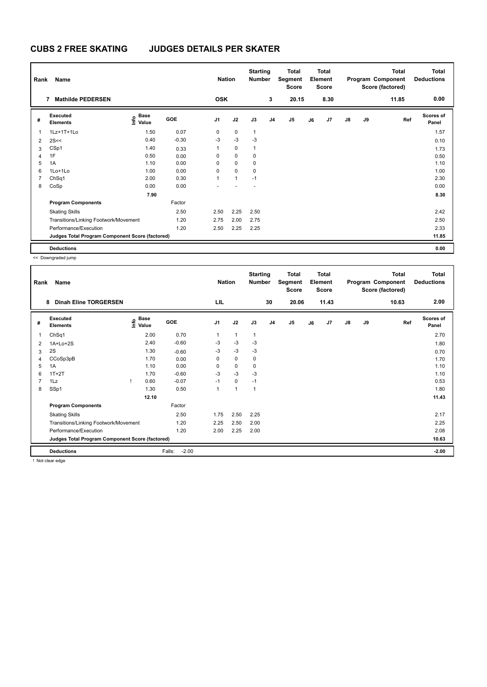| Rank | Name                                            |                                  |            | <b>Nation</b>  |              | <b>Starting</b><br><b>Number</b> |                | Total<br>Segment<br><b>Score</b> |    | <b>Total</b><br>Element<br><b>Score</b> |               |    | <b>Total</b><br>Program Component<br>Score (factored) | <b>Total</b><br><b>Deductions</b> |
|------|-------------------------------------------------|----------------------------------|------------|----------------|--------------|----------------------------------|----------------|----------------------------------|----|-----------------------------------------|---------------|----|-------------------------------------------------------|-----------------------------------|
|      | <b>Mathilde PEDERSEN</b><br>7                   |                                  |            | <b>OSK</b>     |              |                                  | 3              | 20.15                            |    | 8.30                                    |               |    | 11.85                                                 | 0.00                              |
| #    | Executed<br><b>Elements</b>                     | <b>Base</b><br>e Base<br>⊆ Value | <b>GOE</b> | J <sub>1</sub> | J2           | J3                               | J <sub>4</sub> | J <sub>5</sub>                   | J6 | J7                                      | $\mathsf{J}8$ | J9 | Ref                                                   | <b>Scores of</b><br>Panel         |
| 1    | 1Lz+1T+1Lo                                      | 1.50                             | 0.07       | 0              | $\mathbf 0$  | $\overline{1}$                   |                |                                  |    |                                         |               |    |                                                       | 1.57                              |
| 2    | 2S<<                                            | 0.40                             | $-0.30$    | $-3$           | $-3$         | $-3$                             |                |                                  |    |                                         |               |    |                                                       | 0.10                              |
| 3    | CSp1                                            | 1.40                             | 0.33       | 1              | $\mathbf 0$  | -1                               |                |                                  |    |                                         |               |    |                                                       | 1.73                              |
| 4    | 1F                                              | 0.50                             | 0.00       | 0              | $\mathbf 0$  | 0                                |                |                                  |    |                                         |               |    |                                                       | 0.50                              |
| 5    | 1A                                              | 1.10                             | 0.00       | 0              | 0            | 0                                |                |                                  |    |                                         |               |    |                                                       | 1.10                              |
| 6    | 1Lo+1Lo                                         | 1.00                             | 0.00       | 0              | $\mathbf 0$  | 0                                |                |                                  |    |                                         |               |    |                                                       | 1.00                              |
|      | ChSq1                                           | 2.00                             | 0.30       | 1              | $\mathbf{1}$ | $-1$                             |                |                                  |    |                                         |               |    |                                                       | 2.30                              |
| 8    | CoSp                                            | 0.00                             | 0.00       |                |              |                                  |                |                                  |    |                                         |               |    |                                                       | 0.00                              |
|      |                                                 | 7.90                             |            |                |              |                                  |                |                                  |    |                                         |               |    |                                                       | 8.30                              |
|      | <b>Program Components</b>                       |                                  | Factor     |                |              |                                  |                |                                  |    |                                         |               |    |                                                       |                                   |
|      | <b>Skating Skills</b>                           |                                  | 2.50       | 2.50           | 2.25         | 2.50                             |                |                                  |    |                                         |               |    |                                                       | 2.42                              |
|      | Transitions/Linking Footwork/Movement           |                                  | 1.20       | 2.75           | 2.00         | 2.75                             |                |                                  |    |                                         |               |    |                                                       | 2.50                              |
|      | Performance/Execution                           |                                  | 1.20       | 2.50           | 2.25         | 2.25                             |                |                                  |    |                                         |               |    |                                                       | 2.33                              |
|      | Judges Total Program Component Score (factored) |                                  |            |                |              |                                  |                |                                  |    |                                         |               |    |                                                       | 11.85                             |
|      | <b>Deductions</b>                               |                                  |            |                |              |                                  |                |                                  |    |                                         |               |    |                                                       | 0.00                              |

<< Downgraded jump

| Rank | Name                                            |                                  |                   | <b>Nation</b>  |                      | <b>Starting</b><br>Number |                | Total<br>Segment<br><b>Score</b> |    | <b>Total</b><br>Element<br><b>Score</b> |               |    | <b>Total</b><br>Program Component<br>Score (factored) | <b>Total</b><br><b>Deductions</b> |
|------|-------------------------------------------------|----------------------------------|-------------------|----------------|----------------------|---------------------------|----------------|----------------------------------|----|-----------------------------------------|---------------|----|-------------------------------------------------------|-----------------------------------|
|      | <b>Dinah Eline TORGERSEN</b><br>8               |                                  |                   | LIL            |                      |                           | 30             | 20.06                            |    | 11.43                                   |               |    | 10.63                                                 | 2.00                              |
| #    | Executed<br><b>Elements</b>                     | <b>Base</b><br>e Base<br>⊆ Value | GOE               | J <sub>1</sub> | J2                   | J3                        | J <sub>4</sub> | J <sub>5</sub>                   | J6 | J7                                      | $\mathsf{J}8$ | J9 | Ref                                                   | <b>Scores of</b><br>Panel         |
| 1    | ChSq1                                           | 2.00                             | 0.70              | 1              | $\mathbf{1}$         | $\mathbf{1}$              |                |                                  |    |                                         |               |    |                                                       | 2.70                              |
| 2    | 1A+Lo+2S                                        | 2.40                             | $-0.60$           | $-3$           | $-3$                 | -3                        |                |                                  |    |                                         |               |    |                                                       | 1.80                              |
| 3    | 2S                                              | 1.30                             | $-0.60$           | $-3$           | $-3$                 | -3                        |                |                                  |    |                                         |               |    |                                                       | 0.70                              |
| 4    | CCoSp3pB                                        | 1.70                             | 0.00              | 0              | 0                    | 0                         |                |                                  |    |                                         |               |    |                                                       | 1.70                              |
| 5    | 1A                                              | 1.10                             | 0.00              | $\Omega$       | $\mathbf 0$          | 0                         |                |                                  |    |                                         |               |    |                                                       | 1.10                              |
| 6    | $1T+2T$                                         | 1.70                             | $-0.60$           | $-3$           | $-3$                 | $-3$                      |                |                                  |    |                                         |               |    |                                                       | 1.10                              |
| 7    | 1Lz                                             | 0.60                             | $-0.07$           | $-1$           | 0                    | $-1$                      |                |                                  |    |                                         |               |    |                                                       | 0.53                              |
| 8    | SSp1                                            | 1.30                             | 0.50              | 1              | $\blacktriangleleft$ | 1                         |                |                                  |    |                                         |               |    |                                                       | 1.80                              |
|      |                                                 | 12.10                            |                   |                |                      |                           |                |                                  |    |                                         |               |    |                                                       | 11.43                             |
|      | <b>Program Components</b>                       |                                  | Factor            |                |                      |                           |                |                                  |    |                                         |               |    |                                                       |                                   |
|      | <b>Skating Skills</b>                           |                                  | 2.50              | 1.75           | 2.50                 | 2.25                      |                |                                  |    |                                         |               |    |                                                       | 2.17                              |
|      | Transitions/Linking Footwork/Movement           |                                  | 1.20              | 2.25           | 2.50                 | 2.00                      |                |                                  |    |                                         |               |    |                                                       | 2.25                              |
|      | Performance/Execution                           |                                  | 1.20              | 2.00           | 2.25                 | 2.00                      |                |                                  |    |                                         |               |    |                                                       | 2.08                              |
|      | Judges Total Program Component Score (factored) |                                  |                   |                |                      |                           |                |                                  |    |                                         |               |    |                                                       | 10.63                             |
|      | <b>Deductions</b>                               |                                  | $-2.00$<br>Falls: |                |                      |                           |                |                                  |    |                                         |               |    |                                                       | $-2.00$                           |

! Not clear edge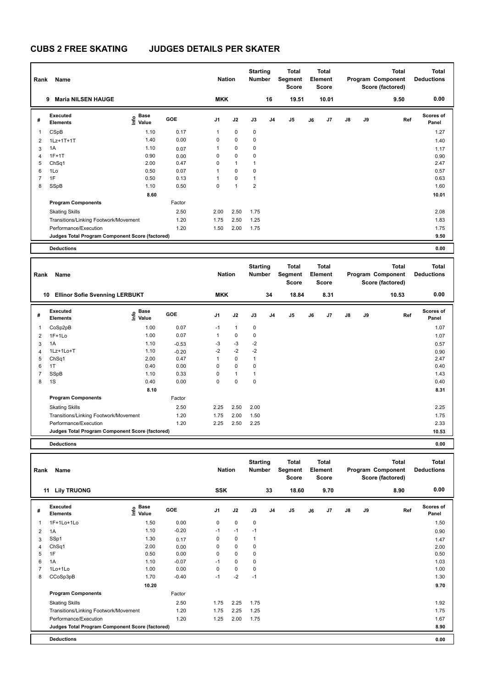| Rank | Name                                            |                                  |            | <b>Nation</b>  |                | <b>Starting</b><br>Number |    | Total<br>Segment<br><b>Score</b> |    | <b>Total</b><br>Element<br>Score |               |    | <b>Total</b><br>Program Component<br>Score (factored) | Total<br><b>Deductions</b> |
|------|-------------------------------------------------|----------------------------------|------------|----------------|----------------|---------------------------|----|----------------------------------|----|----------------------------------|---------------|----|-------------------------------------------------------|----------------------------|
|      | <b>Maria NILSEN HAUGE</b><br>9                  |                                  |            | <b>MKK</b>     |                |                           | 16 | 19.51                            |    | 10.01                            |               |    | 9.50                                                  | 0.00                       |
| #    | Executed<br><b>Elements</b>                     | <b>Base</b><br>e Base<br>⊆ Value | <b>GOE</b> | J <sub>1</sub> | J2             | J3                        | J4 | J5                               | J6 | J7                               | $\mathsf{J}8$ | J9 | Ref                                                   | <b>Scores of</b><br>Panel  |
| 1    | CSpB                                            | 1.10                             | 0.17       | 1              | $\mathbf 0$    | 0                         |    |                                  |    |                                  |               |    |                                                       | 1.27                       |
| 2    | 1Lz+1T+1T                                       | 1.40                             | 0.00       | 0              | $\mathbf 0$    | 0                         |    |                                  |    |                                  |               |    |                                                       | 1.40                       |
| 3    | 1A                                              | 1.10                             | 0.07       | 1              | $\pmb{0}$      | 0                         |    |                                  |    |                                  |               |    |                                                       | 1.17                       |
| 4    | $1F+1T$                                         | 0.90                             | 0.00       | 0              | $\pmb{0}$      | 0                         |    |                                  |    |                                  |               |    |                                                       | 0.90                       |
| 5    | ChSq1                                           | 2.00                             | 0.47       | 0              | 1              | 1                         |    |                                  |    |                                  |               |    |                                                       | 2.47                       |
| 6    | 1Lo                                             | 0.50                             | 0.07       | 1              | $\mathbf 0$    | 0                         |    |                                  |    |                                  |               |    |                                                       | 0.57                       |
| 7    | 1F                                              | 0.50                             | 0.13       | 1              | $\mathbf 0$    | $\mathbf{1}$              |    |                                  |    |                                  |               |    |                                                       | 0.63                       |
| 8    | SSpB                                            | 1.10                             | 0.50       | 0              | $\overline{1}$ | $\overline{2}$            |    |                                  |    |                                  |               |    |                                                       | 1.60                       |
|      |                                                 | 8.60                             |            |                |                |                           |    |                                  |    |                                  |               |    |                                                       | 10.01                      |
|      | <b>Program Components</b>                       |                                  | Factor     |                |                |                           |    |                                  |    |                                  |               |    |                                                       |                            |
|      | <b>Skating Skills</b>                           |                                  | 2.50       | 2.00           | 2.50           | 1.75                      |    |                                  |    |                                  |               |    |                                                       | 2.08                       |
|      | Transitions/Linking Footwork/Movement           |                                  | 1.20       | 1.75           | 2.50           | 1.25                      |    |                                  |    |                                  |               |    |                                                       | 1.83                       |
|      | Performance/Execution                           |                                  | 1.20       | 1.50           | 2.00           | 1.75                      |    |                                  |    |                                  |               |    |                                                       | 1.75                       |
|      | Judges Total Program Component Score (factored) |                                  |            |                |                |                           |    |                                  |    |                                  |               |    |                                                       | 9.50                       |
|      | <b>Deductions</b>                               |                                  |            |                |                |                           |    |                                  |    |                                  |               |    |                                                       | 0.00                       |

| Rank           | Name                                            |                                  |         | <b>Nation</b>  |              | <b>Starting</b><br>Number |                | <b>Total</b><br>Segment<br><b>Score</b> |    | Total<br>Element<br>Score |               |           | <b>Total</b><br>Program Component<br>Score (factored) | <b>Total</b><br><b>Deductions</b> |
|----------------|-------------------------------------------------|----------------------------------|---------|----------------|--------------|---------------------------|----------------|-----------------------------------------|----|---------------------------|---------------|-----------|-------------------------------------------------------|-----------------------------------|
|                | <b>Ellinor Sofie Svenning LERBUKT</b><br>10     |                                  |         | <b>MKK</b>     |              |                           | 34             | 18.84                                   |    | 8.31                      |               |           | 10.53                                                 | 0.00                              |
| #              | <b>Executed</b><br><b>Elements</b>              | <b>Base</b><br>e Base<br>⊆ Value | GOE     | J <sub>1</sub> | J2           | J3                        | J <sub>4</sub> | J5                                      | J6 | J7                        | $\mathsf{J}8$ | <b>J9</b> | Ref                                                   | <b>Scores of</b><br>Panel         |
| 1              | CoSp2pB                                         | 1.00                             | 0.07    | $-1$           | $\mathbf{1}$ | 0                         |                |                                         |    |                           |               |           |                                                       | 1.07                              |
| $\overline{2}$ | $1F+1Lo$                                        | 1.00                             | 0.07    | $\mathbf{1}$   | 0            | 0                         |                |                                         |    |                           |               |           |                                                       | 1.07                              |
| 3              | 1A                                              | 1.10                             | $-0.53$ | $-3$           | $-3$         | $-2$                      |                |                                         |    |                           |               |           |                                                       | 0.57                              |
| 4              | 1Lz+1Lo+T                                       | 1.10                             | $-0.20$ | $-2$           | $-2$         | $-2$                      |                |                                         |    |                           |               |           |                                                       | 0.90                              |
| 5              | Ch <sub>Sq1</sub>                               | 2.00                             | 0.47    | 1              | $\mathbf 0$  | $\mathbf{1}$              |                |                                         |    |                           |               |           |                                                       | 2.47                              |
| 6              | 1T                                              | 0.40                             | 0.00    | 0              | $\mathbf 0$  | $\mathbf 0$               |                |                                         |    |                           |               |           |                                                       | 0.40                              |
| 7              | SSpB                                            | 1.10                             | 0.33    | 0              | $\mathbf{1}$ | 1                         |                |                                         |    |                           |               |           |                                                       | 1.43                              |
| 8              | 1S                                              | 0.40                             | 0.00    | 0              | $\mathbf 0$  | $\mathbf 0$               |                |                                         |    |                           |               |           |                                                       | 0.40                              |
|                |                                                 | 8.10                             |         |                |              |                           |                |                                         |    |                           |               |           |                                                       | 8.31                              |
|                | <b>Program Components</b>                       |                                  | Factor  |                |              |                           |                |                                         |    |                           |               |           |                                                       |                                   |
|                | <b>Skating Skills</b>                           |                                  | 2.50    | 2.25           | 2.50         | 2.00                      |                |                                         |    |                           |               |           |                                                       | 2.25                              |
|                | Transitions/Linking Footwork/Movement           |                                  | 1.20    | 1.75           | 2.00         | 1.50                      |                |                                         |    |                           |               |           |                                                       | 1.75                              |
|                | Performance/Execution                           |                                  | 1.20    | 2.25           | 2.50         | 2.25                      |                |                                         |    |                           |               |           |                                                       | 2.33                              |
|                | Judges Total Program Component Score (factored) |                                  |         |                |              |                           |                |                                         |    |                           |               |           |                                                       | 10.53                             |
|                |                                                 |                                  |         |                |              |                           |                |                                         |    |                           |               |           |                                                       |                                   |

| Rank | Name                                            |                                           |         | <b>Nation</b>  |             | <b>Starting</b><br><b>Number</b> |                | <b>Total</b><br>Segment<br><b>Score</b> |    | <b>Total</b><br>Element<br><b>Score</b> |    |    | <b>Total</b><br>Program Component<br>Score (factored) | <b>Total</b><br><b>Deductions</b> |
|------|-------------------------------------------------|-------------------------------------------|---------|----------------|-------------|----------------------------------|----------------|-----------------------------------------|----|-----------------------------------------|----|----|-------------------------------------------------------|-----------------------------------|
| 11   | <b>Lily TRUONG</b>                              |                                           |         | <b>SSK</b>     |             |                                  | 33             | 18.60                                   |    | 9.70                                    |    |    | 8.90                                                  | 0.00                              |
| #    | <b>Executed</b><br><b>Elements</b>              | $\frac{e}{E}$ Base<br>$\frac{e}{E}$ Value | GOE     | J <sub>1</sub> | J2          | J3                               | J <sub>4</sub> | J <sub>5</sub>                          | J6 | J <sub>7</sub>                          | J8 | J9 | Ref                                                   | <b>Scores of</b><br>Panel         |
| 1    | 1F+1Lo+1Lo                                      | 1.50                                      | 0.00    | 0              | $\mathbf 0$ | 0                                |                |                                         |    |                                         |    |    |                                                       | 1.50                              |
| 2    | 1A                                              | 1.10                                      | $-0.20$ | $-1$           | $-1$        | $-1$                             |                |                                         |    |                                         |    |    |                                                       | 0.90                              |
| 3    | SSp1                                            | 1.30                                      | 0.17    | 0              | $\mathbf 0$ | $\mathbf{1}$                     |                |                                         |    |                                         |    |    |                                                       | 1.47                              |
| 4    | ChSq1                                           | 2.00                                      | 0.00    | 0              | $\mathbf 0$ | $\mathbf 0$                      |                |                                         |    |                                         |    |    |                                                       | 2.00                              |
| 5    | 1F                                              | 0.50                                      | 0.00    | 0              | $\mathbf 0$ | 0                                |                |                                         |    |                                         |    |    |                                                       | 0.50                              |
| 6    | 1A                                              | 1.10                                      | $-0.07$ | $-1$           | $\mathbf 0$ | 0                                |                |                                         |    |                                         |    |    |                                                       | 1.03                              |
|      | 1Lo+1Lo                                         | 1.00                                      | 0.00    | 0              | $\pmb{0}$   | 0                                |                |                                         |    |                                         |    |    |                                                       | 1.00                              |
| 8    | CCoSp3pB                                        | 1.70                                      | $-0.40$ | $-1$           | $-2$        | $-1$                             |                |                                         |    |                                         |    |    |                                                       | 1.30                              |
|      |                                                 | 10.20                                     |         |                |             |                                  |                |                                         |    |                                         |    |    |                                                       | 9.70                              |
|      | <b>Program Components</b>                       |                                           | Factor  |                |             |                                  |                |                                         |    |                                         |    |    |                                                       |                                   |
|      | <b>Skating Skills</b>                           |                                           | 2.50    | 1.75           | 2.25        | 1.75                             |                |                                         |    |                                         |    |    |                                                       | 1.92                              |
|      | Transitions/Linking Footwork/Movement           |                                           | 1.20    | 1.75           | 2.25        | 1.25                             |                |                                         |    |                                         |    |    |                                                       | 1.75                              |
|      | Performance/Execution                           |                                           | 1.20    | 1.25           | 2.00        | 1.75                             |                |                                         |    |                                         |    |    |                                                       | 1.67                              |
|      | Judges Total Program Component Score (factored) |                                           |         |                |             |                                  |                |                                         |    |                                         |    |    |                                                       | 8.90                              |
|      | <b>Deductions</b>                               |                                           |         |                |             |                                  |                |                                         |    |                                         |    |    |                                                       | 0.00                              |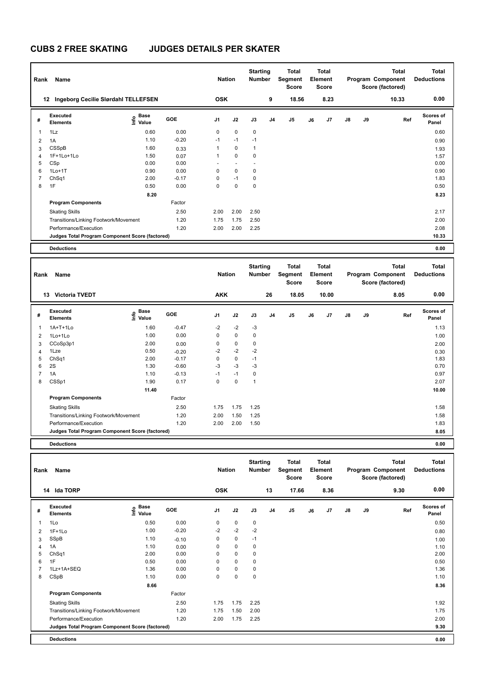| Rank           | <b>Name</b>                                     |                           |         | <b>Nation</b>  |             | <b>Starting</b><br><b>Number</b> |                | <b>Total</b><br>Segment<br><b>Score</b> |    | Total<br>Element<br><b>Score</b> |               |    | <b>Total</b><br>Program Component<br>Score (factored) | Total<br><b>Deductions</b> |
|----------------|-------------------------------------------------|---------------------------|---------|----------------|-------------|----------------------------------|----------------|-----------------------------------------|----|----------------------------------|---------------|----|-------------------------------------------------------|----------------------------|
|                | Ingeborg Cecilie Slørdahl TELLEFSEN<br>12       |                           |         | <b>OSK</b>     |             |                                  | 9              | 18.56                                   |    | 8.23                             |               |    | 10.33                                                 | 0.00                       |
| #              | Executed<br><b>Elements</b>                     | Base<br>o Base<br>⊆ Value | GOE     | J <sub>1</sub> | J2          | J3                               | J <sub>4</sub> | J <sub>5</sub>                          | J6 | J <sub>7</sub>                   | $\mathsf{J}8$ | J9 | Ref                                                   | <b>Scores of</b><br>Panel  |
| $\overline{1}$ | 1Lz                                             | 0.60                      | 0.00    | 0              | $\mathbf 0$ | $\mathbf 0$                      |                |                                         |    |                                  |               |    |                                                       | 0.60                       |
| $\overline{2}$ | 1A                                              | 1.10                      | $-0.20$ | $-1$           | $-1$        | $-1$                             |                |                                         |    |                                  |               |    |                                                       | 0.90                       |
| 3              | CSSpB                                           | 1.60                      | 0.33    | 1              | $\mathbf 0$ | $\mathbf{1}$                     |                |                                         |    |                                  |               |    |                                                       | 1.93                       |
| $\overline{4}$ | 1F+1Lo+1Lo                                      | 1.50                      | 0.07    | 1              | $\mathbf 0$ | $\mathbf 0$                      |                |                                         |    |                                  |               |    |                                                       | 1.57                       |
| 5              | CSp                                             | 0.00                      | 0.00    |                |             |                                  |                |                                         |    |                                  |               |    |                                                       | 0.00                       |
| 6              | $1Lo+1T$                                        | 0.90                      | 0.00    | 0              | $\mathbf 0$ | $\mathbf 0$                      |                |                                         |    |                                  |               |    |                                                       | 0.90                       |
| 7              | ChSq1                                           | 2.00                      | $-0.17$ | 0              | $-1$        | $\mathbf 0$                      |                |                                         |    |                                  |               |    |                                                       | 1.83                       |
| 8              | 1F                                              | 0.50                      | 0.00    | 0              | $\mathbf 0$ | $\mathbf 0$                      |                |                                         |    |                                  |               |    |                                                       | 0.50                       |
|                |                                                 | 8.20                      |         |                |             |                                  |                |                                         |    |                                  |               |    |                                                       | 8.23                       |
|                | <b>Program Components</b>                       |                           | Factor  |                |             |                                  |                |                                         |    |                                  |               |    |                                                       |                            |
|                | <b>Skating Skills</b>                           |                           | 2.50    | 2.00           | 2.00        | 2.50                             |                |                                         |    |                                  |               |    |                                                       | 2.17                       |
|                | Transitions/Linking Footwork/Movement           |                           | 1.20    | 1.75           | 1.75        | 2.50                             |                |                                         |    |                                  |               |    |                                                       | 2.00                       |
|                | Performance/Execution                           |                           | 1.20    | 2.00           | 2.00        | 2.25                             |                |                                         |    |                                  |               |    |                                                       | 2.08                       |
|                | Judges Total Program Component Score (factored) |                           |         |                |             |                                  |                |                                         |    |                                  |               |    |                                                       | 10.33                      |
|                | <b>Deductions</b>                               |                           |         |                |             |                                  |                |                                         |    |                                  |               |    |                                                       | 0.00                       |

| Rank           | Name                                            |                                  |         | <b>Nation</b>  |             | <b>Starting</b><br>Number |                | <b>Total</b><br>Segment<br><b>Score</b> |    | <b>Total</b><br>Element<br><b>Score</b> |               |    | <b>Total</b><br>Program Component<br>Score (factored) | <b>Total</b><br><b>Deductions</b> |
|----------------|-------------------------------------------------|----------------------------------|---------|----------------|-------------|---------------------------|----------------|-----------------------------------------|----|-----------------------------------------|---------------|----|-------------------------------------------------------|-----------------------------------|
|                | <b>Victoria TVEDT</b><br>13                     |                                  |         | <b>AKK</b>     |             |                           | 26             | 18.05                                   |    | 10.00                                   |               |    | 8.05                                                  | 0.00                              |
| #              | Executed<br><b>Elements</b>                     | <b>Base</b><br>e Base<br>⊆ Value | GOE     | J <sub>1</sub> | J2          | J3                        | J <sub>4</sub> | J <sub>5</sub>                          | J6 | J <sub>7</sub>                          | $\mathsf{J}8$ | J9 | Ref                                                   | <b>Scores of</b><br>Panel         |
| 1              | 1A+T+1Lo                                        | 1.60                             | $-0.47$ | $-2$           | $-2$        | $-3$                      |                |                                         |    |                                         |               |    |                                                       | 1.13                              |
| 2              | 1Lo+1Lo                                         | 1.00                             | 0.00    | $\mathbf 0$    | 0           | $\pmb{0}$                 |                |                                         |    |                                         |               |    |                                                       | 1.00                              |
| 3              | CCoSp3p1                                        | 2.00                             | 0.00    | 0              | $\mathbf 0$ | 0                         |                |                                         |    |                                         |               |    |                                                       | 2.00                              |
| $\overline{4}$ | 1Lze                                            | 0.50                             | $-0.20$ | $-2$           | $-2$        | $-2$                      |                |                                         |    |                                         |               |    |                                                       | 0.30                              |
| 5              | ChSq1                                           | 2.00                             | $-0.17$ | 0              | $\mathbf 0$ | $-1$                      |                |                                         |    |                                         |               |    |                                                       | 1.83                              |
| 6              | 2S                                              | 1.30                             | $-0.60$ | $-3$           | $-3$        | $-3$                      |                |                                         |    |                                         |               |    |                                                       | 0.70                              |
| $\overline{7}$ | 1A                                              | 1.10                             | $-0.13$ | $-1$           | $-1$        | 0                         |                |                                         |    |                                         |               |    |                                                       | 0.97                              |
| 8              | CSSp1                                           | 1.90                             | 0.17    | $\mathbf 0$    | $\mathbf 0$ | $\mathbf{1}$              |                |                                         |    |                                         |               |    |                                                       | 2.07                              |
|                |                                                 | 11.40                            |         |                |             |                           |                |                                         |    |                                         |               |    |                                                       | 10.00                             |
|                | <b>Program Components</b>                       |                                  | Factor  |                |             |                           |                |                                         |    |                                         |               |    |                                                       |                                   |
|                | <b>Skating Skills</b>                           |                                  | 2.50    | 1.75           | 1.75        | 1.25                      |                |                                         |    |                                         |               |    |                                                       | 1.58                              |
|                | Transitions/Linking Footwork/Movement           |                                  | 1.20    | 2.00           | 1.50        | 1.25                      |                |                                         |    |                                         |               |    |                                                       | 1.58                              |
|                | Performance/Execution                           |                                  | 1.20    | 2.00           | 2.00        | 1.50                      |                |                                         |    |                                         |               |    |                                                       | 1.83                              |
|                | Judges Total Program Component Score (factored) |                                  |         |                |             |                           |                |                                         |    |                                         |               |    |                                                       | 8.05                              |
|                |                                                 |                                  |         |                |             |                           |                |                                         |    |                                         |               |    |                                                       |                                   |

| Rank | Name                                            |                                           |         | <b>Nation</b>  |             | <b>Starting</b><br><b>Number</b> |                | <b>Total</b><br>Segment<br><b>Score</b> |    | <b>Total</b><br>Element<br><b>Score</b> |    |    | <b>Total</b><br>Program Component<br>Score (factored) | <b>Total</b><br><b>Deductions</b> |
|------|-------------------------------------------------|-------------------------------------------|---------|----------------|-------------|----------------------------------|----------------|-----------------------------------------|----|-----------------------------------------|----|----|-------------------------------------------------------|-----------------------------------|
|      | <b>Ida TORP</b><br>14                           |                                           |         | <b>OSK</b>     |             |                                  | 13             | 17.66                                   |    | 8.36                                    |    |    | 9.30                                                  | 0.00                              |
| #    | Executed<br><b>Elements</b>                     | $\frac{e}{E}$ Base<br>$\frac{e}{E}$ Value | GOE     | J <sub>1</sub> | J2          | J3                               | J <sub>4</sub> | J <sub>5</sub>                          | J6 | J7                                      | J8 | J9 | Ref                                                   | <b>Scores of</b><br>Panel         |
| 1    | 1Lo                                             | 0.50                                      | 0.00    | 0              | $\mathbf 0$ | 0                                |                |                                         |    |                                         |    |    |                                                       | 0.50                              |
| 2    | $1F+1Lo$                                        | 1.00                                      | $-0.20$ | $-2$           | $-2$        | $-2$                             |                |                                         |    |                                         |    |    |                                                       | 0.80                              |
| 3    | SSpB                                            | 1.10                                      | $-0.10$ | 0              | $\mathbf 0$ | $-1$                             |                |                                         |    |                                         |    |    |                                                       | 1.00                              |
| 4    | 1A                                              | 1.10                                      | 0.00    | 0              | $\mathbf 0$ | 0                                |                |                                         |    |                                         |    |    |                                                       | 1.10                              |
| 5    | ChSq1                                           | 2.00                                      | 0.00    | 0              | $\mathbf 0$ | 0                                |                |                                         |    |                                         |    |    |                                                       | 2.00                              |
| 6    | 1F                                              | 0.50                                      | 0.00    | 0              | $\mathbf 0$ | 0                                |                |                                         |    |                                         |    |    |                                                       | 0.50                              |
|      | 1Lz+1A+SEQ                                      | 1.36                                      | 0.00    | 0              | $\mathbf 0$ | 0                                |                |                                         |    |                                         |    |    |                                                       | 1.36                              |
| 8    | CSpB                                            | 1.10                                      | 0.00    | 0              | $\mathbf 0$ | 0                                |                |                                         |    |                                         |    |    |                                                       | 1.10                              |
|      |                                                 | 8.66                                      |         |                |             |                                  |                |                                         |    |                                         |    |    |                                                       | 8.36                              |
|      | <b>Program Components</b>                       |                                           | Factor  |                |             |                                  |                |                                         |    |                                         |    |    |                                                       |                                   |
|      | <b>Skating Skills</b>                           |                                           | 2.50    | 1.75           | 1.75        | 2.25                             |                |                                         |    |                                         |    |    |                                                       | 1.92                              |
|      | Transitions/Linking Footwork/Movement           |                                           | 1.20    | 1.75           | 1.50        | 2.00                             |                |                                         |    |                                         |    |    |                                                       | 1.75                              |
|      | Performance/Execution                           |                                           | 1.20    | 2.00           | 1.75        | 2.25                             |                |                                         |    |                                         |    |    |                                                       | 2.00                              |
|      | Judges Total Program Component Score (factored) |                                           |         |                |             |                                  |                |                                         |    |                                         |    |    |                                                       | 9.30                              |
|      | <b>Deductions</b>                               |                                           |         |                |             |                                  |                |                                         |    |                                         |    |    |                                                       | 0.00                              |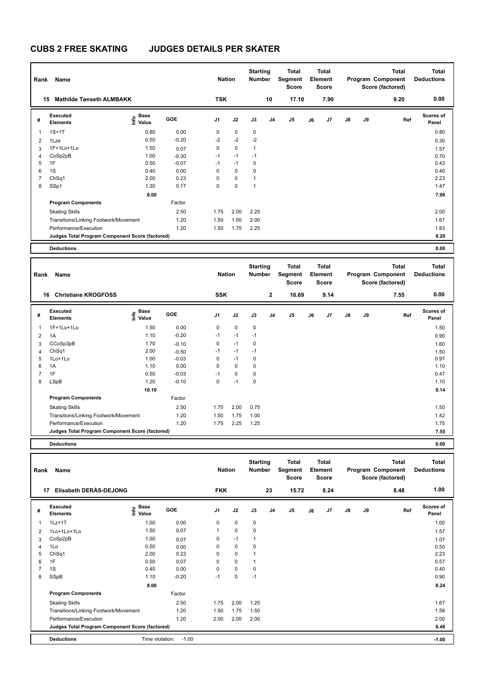| Rank                    | <b>Name</b>                                     |                           |         | <b>Nation</b>  |             | <b>Starting</b><br><b>Number</b> |                | <b>Total</b><br>Segment<br><b>Score</b> |    | Total<br>Element<br><b>Score</b> |               |    | <b>Total</b><br>Program Component<br>Score (factored) | Total<br><b>Deductions</b> |
|-------------------------|-------------------------------------------------|---------------------------|---------|----------------|-------------|----------------------------------|----------------|-----------------------------------------|----|----------------------------------|---------------|----|-------------------------------------------------------|----------------------------|
|                         | <b>Mathilde Tønseth ALMBAKK</b><br>15           |                           |         | <b>TSK</b>     |             |                                  | 10             | 17.10                                   |    | 7.90                             |               |    | 9.20                                                  | 0.00                       |
| #                       | Executed<br><b>Elements</b>                     | Base<br>o Base<br>⊆ Value | GOE     | J <sub>1</sub> | J2          | J3                               | J <sub>4</sub> | J <sub>5</sub>                          | J6 | J <sub>7</sub>                   | $\mathsf{J}8$ | J9 | Ref                                                   | <b>Scores of</b><br>Panel  |
| $\overline{\mathbf{1}}$ | $1S+1T$                                         | 0.80                      | 0.00    | 0              | $\mathbf 0$ | $\mathbf 0$                      |                |                                         |    |                                  |               |    |                                                       | 0.80                       |
| $\overline{2}$          | 1Lze                                            | 0.50                      | $-0.20$ | $-2$           | $-2$        | $-2$                             |                |                                         |    |                                  |               |    |                                                       | 0.30                       |
| 3                       | 1F+1Lo+1Lo                                      | 1.50                      | 0.07    | 0              | $\mathbf 0$ | $\mathbf{1}$                     |                |                                         |    |                                  |               |    |                                                       | 1.57                       |
| 4                       | CoSp2pB                                         | 1.00                      | $-0.30$ | $-1$           | $-1$        | $-1$                             |                |                                         |    |                                  |               |    |                                                       | 0.70                       |
| 5                       | 1F                                              | 0.50                      | $-0.07$ | $-1$           | $-1$        | $\mathbf 0$                      |                |                                         |    |                                  |               |    |                                                       | 0.43                       |
| 6                       | 1S                                              | 0.40                      | 0.00    | 0              | $\mathbf 0$ | $\mathbf 0$                      |                |                                         |    |                                  |               |    |                                                       | 0.40                       |
| $\overline{7}$          | ChSq1                                           | 2.00                      | 0.23    | 0              | $\mathbf 0$ | $\mathbf{1}$                     |                |                                         |    |                                  |               |    |                                                       | 2.23                       |
| 8                       | SSp1                                            | 1.30                      | 0.17    | 0              | $\mathbf 0$ | $\mathbf{1}$                     |                |                                         |    |                                  |               |    |                                                       | 1.47                       |
|                         |                                                 | 8.00                      |         |                |             |                                  |                |                                         |    |                                  |               |    |                                                       | 7.90                       |
|                         | <b>Program Components</b>                       |                           | Factor  |                |             |                                  |                |                                         |    |                                  |               |    |                                                       |                            |
|                         | <b>Skating Skills</b>                           |                           | 2.50    | 1.75           | 2.00        | 2.25                             |                |                                         |    |                                  |               |    |                                                       | 2.00                       |
|                         | Transitions/Linking Footwork/Movement           |                           | 1.20    | 1.50           | 1.50        | 2.00                             |                |                                         |    |                                  |               |    |                                                       | 1.67                       |
|                         | Performance/Execution                           |                           | 1.20    | 1.50           | 1.75        | 2.25                             |                |                                         |    |                                  |               |    |                                                       | 1.83                       |
|                         | Judges Total Program Component Score (factored) |                           |         |                |             |                                  |                |                                         |    |                                  |               |    |                                                       | 9.20                       |
|                         | <b>Deductions</b>                               |                           |         |                |             |                                  |                |                                         |    |                                  |               |    |                                                       | 0.00                       |

**Total Deductions Total Program Component Score (factored) Total Element Score Total Segment Score Starting Rank Name Nation Number # Executed Elements Base Value GOE J1 J2 J3 J4 J5 J6 J7 J8 J9 Scores of Panel** 1 1F+1Lo+1Lo 1.50 0.00 0 0 0 **Ref**  1F+1Lo+1Lo 1.50 **Info 16 Christiane KROGFOSS SSK 2 16.69 9.14 7.55 0.00** 2 1A 1.10 -0.20 -1 -1 -1 0.90 3 CCoSp3pB 1.70 -0.10 0 -1 0 1.60 4 ChSq1 2.00 -0.50 -1 -1 -1 1.50 5 1Lo+1Lo 1.00 -0.03 0 -1 0 0.97 6 1A 1.10 0.00 0 0 0 1.10 7 1F 0.50 -0.03 -1 0 0 0.47 8 LSpB 1.20 -0.10 0 -1 0 1.10  **10.10 9.14 Program Components**  Skating Skills 1.75 2.00 0.75 Factor 2.50 1.75 2.00 0.75 2.00 1.50 Transitions/Linking Footwork/Movement 1.20 1.50 1.75 1.00 1.75 1.00 Performance/Execution 1.20 1.75 2.25 1.25 1.75 **Deductions 0.00 Judges Total Program Component Score (factored) 7.55**

| Rank           | Name                                            |                                           |         | <b>Nation</b> |             | <b>Starting</b><br>Number |                | Total<br>Segment<br>Score |    | <b>Total</b><br>Element<br><b>Score</b> |    |    | <b>Total</b><br>Program Component<br>Score (factored) | Total<br><b>Deductions</b> |
|----------------|-------------------------------------------------|-------------------------------------------|---------|---------------|-------------|---------------------------|----------------|---------------------------|----|-----------------------------------------|----|----|-------------------------------------------------------|----------------------------|
| 17             | <b>Elisabeth DERÅS-DEJONG</b>                   |                                           |         | <b>FKK</b>    |             |                           | 23             | 15.72                     |    | 8.24                                    |    |    | 8.48                                                  | 1.00                       |
| #              | <b>Executed</b><br><b>Elements</b>              | $\frac{6}{5}$ Base<br>$\frac{6}{5}$ Value | GOE     | J1            | J2          | J3                        | J <sub>4</sub> | J <sub>5</sub>            | J6 | J7                                      | J8 | J9 | Ref                                                   | <b>Scores of</b><br>Panel  |
| 1              | $1Lz+1T$                                        | 1.00                                      | 0.00    | 0             | $\mathbf 0$ | 0                         |                |                           |    |                                         |    |    |                                                       | 1.00                       |
| 2              | 1Lo+1Lo+1Lo                                     | 1.50                                      | 0.07    | 1             | $\mathbf 0$ | 0                         |                |                           |    |                                         |    |    |                                                       | 1.57                       |
| 3              | CoSp2pB                                         | 1.00                                      | 0.07    | 0             | $-1$        | $\mathbf{1}$              |                |                           |    |                                         |    |    |                                                       | 1.07                       |
| 4              | 1Lo                                             | 0.50                                      | 0.00    | 0             | 0           | 0                         |                |                           |    |                                         |    |    |                                                       | 0.50                       |
| 5              | ChSq1                                           | 2.00                                      | 0.23    | 0             | $\pmb{0}$   |                           |                |                           |    |                                         |    |    |                                                       | 2.23                       |
| 6              | 1F                                              | 0.50                                      | 0.07    | 0             | $\mathbf 0$ |                           |                |                           |    |                                         |    |    |                                                       | 0.57                       |
| $\overline{7}$ | 1 <sub>S</sub>                                  | 0.40                                      | 0.00    | 0             | $\mathbf 0$ | 0                         |                |                           |    |                                         |    |    |                                                       | 0.40                       |
| 8              | SSpB                                            | 1.10                                      | $-0.20$ | $-1$          | $\pmb{0}$   | $-1$                      |                |                           |    |                                         |    |    |                                                       | 0.90                       |
|                |                                                 | 8.00                                      |         |               |             |                           |                |                           |    |                                         |    |    |                                                       | 8.24                       |
|                | <b>Program Components</b>                       |                                           | Factor  |               |             |                           |                |                           |    |                                         |    |    |                                                       |                            |
|                | <b>Skating Skills</b>                           |                                           | 2.50    | 1.75          | 2.00        | 1.25                      |                |                           |    |                                         |    |    |                                                       | 1.67                       |
|                | Transitions/Linking Footwork/Movement           |                                           | 1.20    | 1.50          | 1.75        | 1.50                      |                |                           |    |                                         |    |    |                                                       | 1.58                       |
|                | Performance/Execution                           |                                           | 1.20    | 2.00          | 2.00        | 2.00                      |                |                           |    |                                         |    |    |                                                       | 2.00                       |
|                | Judges Total Program Component Score (factored) |                                           |         |               |             |                           |                |                           |    |                                         |    |    |                                                       | 8.48                       |
|                | <b>Deductions</b>                               | Time violation:                           | $-1.00$ |               |             |                           |                |                           |    |                                         |    |    |                                                       | $-1.00$                    |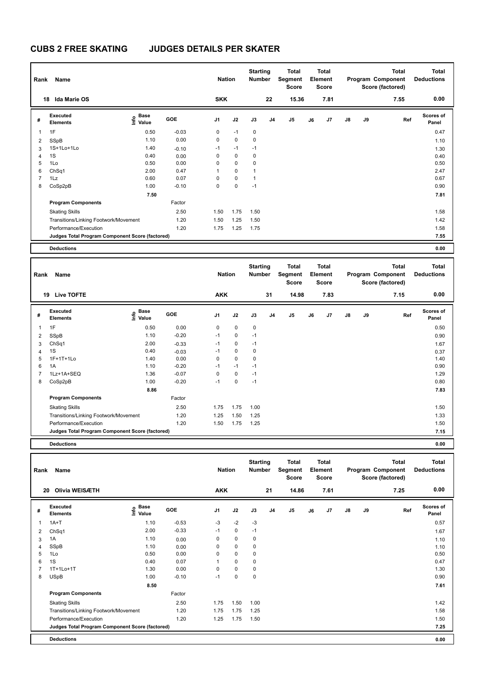|                | Name<br>Rank<br><b>Ida Marie OS</b><br>18       |                       |            | <b>Nation</b>  |             | <b>Starting</b><br><b>Number</b> |                | Total<br>Segment<br><b>Score</b> |    | <b>Total</b><br>Element<br><b>Score</b> |               |    | <b>Total</b><br>Program Component<br>Score (factored) | Total<br><b>Deductions</b> |
|----------------|-------------------------------------------------|-----------------------|------------|----------------|-------------|----------------------------------|----------------|----------------------------------|----|-----------------------------------------|---------------|----|-------------------------------------------------------|----------------------------|
|                |                                                 |                       |            | <b>SKK</b>     |             |                                  | 22             | 15.36                            |    | 7.81                                    |               |    | 7.55                                                  | 0.00                       |
| #              | Executed<br><b>Elements</b>                     | Base<br>Info<br>Value | <b>GOE</b> | J <sub>1</sub> | J2          | J3                               | J <sub>4</sub> | J5                               | J6 | J7                                      | $\mathsf{J}8$ | J9 | Ref                                                   | <b>Scores of</b><br>Panel  |
| $\mathbf{1}$   | 1F                                              | 0.50                  | $-0.03$    | 0              | $-1$        | $\mathbf 0$                      |                |                                  |    |                                         |               |    |                                                       | 0.47                       |
| 2              | SSpB                                            | 1.10                  | 0.00       | 0              | 0           | 0                                |                |                                  |    |                                         |               |    |                                                       | 1.10                       |
| 3              | 1S+1Lo+1Lo                                      | 1.40                  | $-0.10$    | $-1$           | $-1$        | $-1$                             |                |                                  |    |                                         |               |    |                                                       | 1.30                       |
| 4              | 1S                                              | 0.40                  | 0.00       | 0              | $\mathbf 0$ | 0                                |                |                                  |    |                                         |               |    |                                                       | 0.40                       |
| 5              | 1Lo                                             | 0.50                  | 0.00       | 0              | 0           | 0                                |                |                                  |    |                                         |               |    |                                                       | 0.50                       |
| 6              | ChSq1                                           | 2.00                  | 0.47       | 1              | $\pmb{0}$   | 1                                |                |                                  |    |                                         |               |    |                                                       | 2.47                       |
| $\overline{7}$ | 1Lz                                             | 0.60                  | 0.07       | 0              | $\pmb{0}$   | $\mathbf{1}$                     |                |                                  |    |                                         |               |    |                                                       | 0.67                       |
| 8              | CoSp2pB                                         | 1.00                  | $-0.10$    | 0              | $\pmb{0}$   | $-1$                             |                |                                  |    |                                         |               |    |                                                       | 0.90                       |
|                |                                                 | 7.50                  |            |                |             |                                  |                |                                  |    |                                         |               |    |                                                       | 7.81                       |
|                | <b>Program Components</b>                       |                       | Factor     |                |             |                                  |                |                                  |    |                                         |               |    |                                                       |                            |
|                | <b>Skating Skills</b>                           |                       | 2.50       | 1.50           | 1.75        | 1.50                             |                |                                  |    |                                         |               |    |                                                       | 1.58                       |
|                | Transitions/Linking Footwork/Movement           |                       | 1.20       | 1.50           | 1.25        | 1.50                             |                |                                  |    |                                         |               |    |                                                       | 1.42                       |
|                | Performance/Execution                           |                       | 1.20       | 1.75           | 1.25        | 1.75                             |                |                                  |    |                                         |               |    |                                                       | 1.58                       |
|                | Judges Total Program Component Score (factored) |                       |            |                |             |                                  |                |                                  |    |                                         |               |    |                                                       | 7.55                       |
|                | <b>Deductions</b>                               |                       |            |                |             |                                  |                |                                  |    |                                         |               |    |                                                       | 0.00                       |

| Rank           | Name                                            |                                  |         | <b>Nation</b>  |             | <b>Starting</b><br><b>Number</b> |                | Total<br>Segment<br><b>Score</b> |    | <b>Total</b><br>Element<br><b>Score</b> |               |    | <b>Total</b><br>Program Component<br>Score (factored) | <b>Total</b><br><b>Deductions</b> |
|----------------|-------------------------------------------------|----------------------------------|---------|----------------|-------------|----------------------------------|----------------|----------------------------------|----|-----------------------------------------|---------------|----|-------------------------------------------------------|-----------------------------------|
|                | <b>Live TOFTE</b><br>19                         |                                  |         | <b>AKK</b>     |             |                                  | 31             | 14.98                            |    | 7.83                                    |               |    | 7.15                                                  | 0.00                              |
| #              | Executed<br><b>Elements</b>                     | <b>Base</b><br>o Base<br>⊆ Value | GOE     | J <sub>1</sub> | J2          | J3                               | J <sub>4</sub> | J <sub>5</sub>                   | J6 | J <sub>7</sub>                          | $\mathsf{J}8$ | J9 | Ref                                                   | Scores of<br>Panel                |
| 1              | 1F                                              | 0.50                             | 0.00    | 0              | $\mathbf 0$ | 0                                |                |                                  |    |                                         |               |    |                                                       | 0.50                              |
| $\overline{2}$ | SSpB                                            | 1.10                             | $-0.20$ | $-1$           | $\mathbf 0$ | $-1$                             |                |                                  |    |                                         |               |    |                                                       | 0.90                              |
| 3              | ChSq1                                           | 2.00                             | $-0.33$ | $-1$           | $\mathbf 0$ | $-1$                             |                |                                  |    |                                         |               |    |                                                       | 1.67                              |
| 4              | 1S                                              | 0.40                             | $-0.03$ | $-1$           | $\mathbf 0$ | $\mathbf 0$                      |                |                                  |    |                                         |               |    |                                                       | 0.37                              |
| 5              | 1F+1T+1Lo                                       | 1.40                             | 0.00    | 0              | $\mathbf 0$ | $\mathbf 0$                      |                |                                  |    |                                         |               |    |                                                       | 1.40                              |
| 6              | 1A                                              | 1.10                             | $-0.20$ | $-1$           | $-1$        | $-1$                             |                |                                  |    |                                         |               |    |                                                       | 0.90                              |
| $\overline{7}$ | 1Lz+1A+SEQ                                      | 1.36                             | $-0.07$ | 0              | $\mathbf 0$ | $-1$                             |                |                                  |    |                                         |               |    |                                                       | 1.29                              |
| 8              | CoSp2pB                                         | 1.00                             | $-0.20$ | $-1$           | $\mathbf 0$ | $-1$                             |                |                                  |    |                                         |               |    |                                                       | 0.80                              |
|                |                                                 | 8.86                             |         |                |             |                                  |                |                                  |    |                                         |               |    |                                                       | 7.83                              |
|                | <b>Program Components</b>                       |                                  | Factor  |                |             |                                  |                |                                  |    |                                         |               |    |                                                       |                                   |
|                | <b>Skating Skills</b>                           |                                  | 2.50    | 1.75           | 1.75        | 1.00                             |                |                                  |    |                                         |               |    |                                                       | 1.50                              |
|                | Transitions/Linking Footwork/Movement           |                                  | 1.20    | 1.25           | 1.50        | 1.25                             |                |                                  |    |                                         |               |    |                                                       | 1.33                              |
|                | Performance/Execution                           |                                  | 1.20    | 1.50           | 1.75        | 1.25                             |                |                                  |    |                                         |               |    |                                                       | 1.50                              |
|                | Judges Total Program Component Score (factored) |                                  |         |                |             |                                  |                |                                  |    |                                         |               |    |                                                       | 7.15                              |
|                | <b>Deductions</b>                               |                                  |         |                |             |                                  |                |                                  |    |                                         |               |    |                                                       | 0.00                              |

| Rank | Name                                            |                                  |            | <b>Nation</b> |             | <b>Starting</b><br><b>Number</b> |                | <b>Total</b><br>Segment<br>Score |    | <b>Total</b><br>Element<br><b>Score</b> |    |    | <b>Total</b><br>Program Component<br>Score (factored) | <b>Total</b><br><b>Deductions</b> |
|------|-------------------------------------------------|----------------------------------|------------|---------------|-------------|----------------------------------|----------------|----------------------------------|----|-----------------------------------------|----|----|-------------------------------------------------------|-----------------------------------|
| 20   | Olivia WEISÆTH                                  |                                  |            | <b>AKK</b>    |             |                                  | 21             | 14.86                            |    | 7.61                                    |    |    | 7.25                                                  | 0.00                              |
| #    | Executed<br><b>Elements</b>                     | <b>Base</b><br>e Base<br>⊆ Value | <b>GOE</b> | J1            | J2          | J3                               | J <sub>4</sub> | J <sub>5</sub>                   | J6 | J <sub>7</sub>                          | J8 | J9 | Ref                                                   | <b>Scores of</b><br>Panel         |
| 1    | $1A+T$                                          | 1.10                             | $-0.53$    | $-3$          | $-2$        | $-3$                             |                |                                  |    |                                         |    |    |                                                       | 0.57                              |
| 2    | ChSq1                                           | 2.00                             | $-0.33$    | $-1$          | $\mathbf 0$ | $-1$                             |                |                                  |    |                                         |    |    |                                                       | 1.67                              |
| 3    | 1A                                              | 1.10                             | 0.00       | 0             | $\mathbf 0$ | 0                                |                |                                  |    |                                         |    |    |                                                       | 1.10                              |
| 4    | SSpB                                            | 1.10                             | 0.00       | 0             | $\mathbf 0$ | 0                                |                |                                  |    |                                         |    |    |                                                       | 1.10                              |
| 5    | 1Lo                                             | 0.50                             | 0.00       | 0             | $\mathbf 0$ | 0                                |                |                                  |    |                                         |    |    |                                                       | 0.50                              |
| 6    | 1S                                              | 0.40                             | 0.07       | 1             | $\mathbf 0$ | $\mathbf 0$                      |                |                                  |    |                                         |    |    |                                                       | 0.47                              |
|      | 1T+1Lo+1T                                       | 1.30                             | 0.00       | 0             | $\mathbf 0$ | 0                                |                |                                  |    |                                         |    |    |                                                       | 1.30                              |
| 8    | <b>USpB</b>                                     | 1.00                             | $-0.10$    | $-1$          | $\pmb{0}$   | 0                                |                |                                  |    |                                         |    |    |                                                       | 0.90                              |
|      |                                                 | 8.50                             |            |               |             |                                  |                |                                  |    |                                         |    |    |                                                       | 7.61                              |
|      | <b>Program Components</b>                       |                                  | Factor     |               |             |                                  |                |                                  |    |                                         |    |    |                                                       |                                   |
|      | <b>Skating Skills</b>                           |                                  | 2.50       | 1.75          | 1.50        | 1.00                             |                |                                  |    |                                         |    |    |                                                       | 1.42                              |
|      | Transitions/Linking Footwork/Movement           |                                  | 1.20       | 1.75          | 1.75        | 1.25                             |                |                                  |    |                                         |    |    |                                                       | 1.58                              |
|      | Performance/Execution                           |                                  | 1.20       | 1.25          | 1.75        | 1.50                             |                |                                  |    |                                         |    |    |                                                       | 1.50                              |
|      | Judges Total Program Component Score (factored) |                                  |            |               |             |                                  |                |                                  |    |                                         |    |    |                                                       | 7.25                              |
|      | <b>Deductions</b>                               |                                  |            |               |             |                                  |                |                                  |    |                                         |    |    |                                                       | 0.00                              |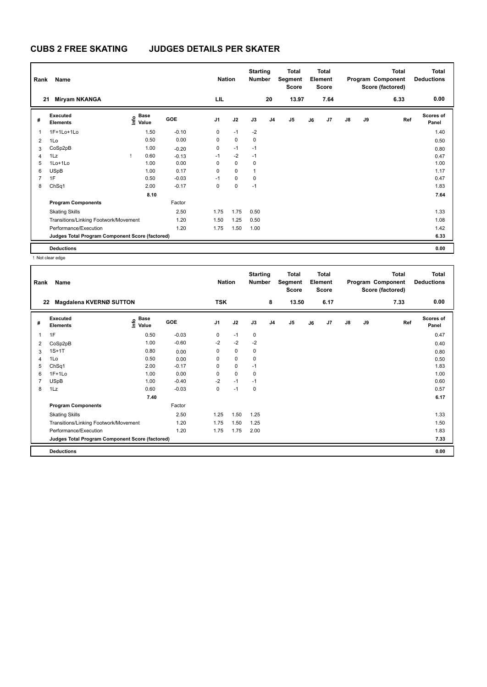| Rank           | Name                                            |                                  |         | <b>Nation</b>  |             | <b>Starting</b><br><b>Number</b> |                | Total<br>Segment<br><b>Score</b> |    | <b>Total</b><br>Element<br><b>Score</b> |               |    | <b>Total</b><br>Program Component<br>Score (factored) | <b>Total</b><br><b>Deductions</b> |
|----------------|-------------------------------------------------|----------------------------------|---------|----------------|-------------|----------------------------------|----------------|----------------------------------|----|-----------------------------------------|---------------|----|-------------------------------------------------------|-----------------------------------|
| 21             | <b>Miryam NKANGA</b>                            |                                  |         | LIL            |             |                                  | 20             | 13.97                            |    | 7.64                                    |               |    | 6.33                                                  | 0.00                              |
| #              | Executed<br><b>Elements</b>                     | <b>Base</b><br>o Base<br>⊆ Value | GOE     | J <sub>1</sub> | J2          | J3                               | J <sub>4</sub> | J <sub>5</sub>                   | J6 | J7                                      | $\mathsf{J}8$ | J9 | Ref                                                   | <b>Scores of</b><br>Panel         |
| $\mathbf{1}$   | 1F+1Lo+1Lo                                      | 1.50                             | $-0.10$ | 0              | $-1$        | $-2$                             |                |                                  |    |                                         |               |    |                                                       | 1.40                              |
| 2              | 1Lo                                             | 0.50                             | 0.00    | 0              | $\mathbf 0$ | 0                                |                |                                  |    |                                         |               |    |                                                       | 0.50                              |
| 3              | CoSp2pB                                         | 1.00                             | $-0.20$ | 0              | $-1$        | $-1$                             |                |                                  |    |                                         |               |    |                                                       | 0.80                              |
| 4              | 1Lz                                             | 0.60                             | $-0.13$ | $-1$           | $-2$        | $-1$                             |                |                                  |    |                                         |               |    |                                                       | 0.47                              |
| 5              | 1Lo+1Lo                                         | 1.00                             | 0.00    | 0              | $\mathbf 0$ | 0                                |                |                                  |    |                                         |               |    |                                                       | 1.00                              |
| 6              | <b>USpB</b>                                     | 1.00                             | 0.17    | 0              | $\mathbf 0$ | 1                                |                |                                  |    |                                         |               |    |                                                       | 1.17                              |
| $\overline{7}$ | 1F                                              | 0.50                             | $-0.03$ | $-1$           | $\Omega$    | 0                                |                |                                  |    |                                         |               |    |                                                       | 0.47                              |
| 8              | ChSq1                                           | 2.00                             | $-0.17$ | 0              | $\mathbf 0$ | $-1$                             |                |                                  |    |                                         |               |    |                                                       | 1.83                              |
|                |                                                 | 8.10                             |         |                |             |                                  |                |                                  |    |                                         |               |    |                                                       | 7.64                              |
|                | <b>Program Components</b>                       |                                  | Factor  |                |             |                                  |                |                                  |    |                                         |               |    |                                                       |                                   |
|                | <b>Skating Skills</b>                           |                                  | 2.50    | 1.75           | 1.75        | 0.50                             |                |                                  |    |                                         |               |    |                                                       | 1.33                              |
|                | Transitions/Linking Footwork/Movement           |                                  | 1.20    | 1.50           | 1.25        | 0.50                             |                |                                  |    |                                         |               |    |                                                       | 1.08                              |
|                | Performance/Execution                           |                                  | 1.20    | 1.75           | 1.50        | 1.00                             |                |                                  |    |                                         |               |    |                                                       | 1.42                              |
|                | Judges Total Program Component Score (factored) |                                  |         |                |             |                                  |                |                                  |    |                                         |               |    |                                                       | 6.33                              |
|                | <b>Deductions</b>                               |                                  |         |                |             |                                  |                |                                  |    |                                         |               |    |                                                       | 0.00                              |

! Not clear edge

| Rank | Name                                            |                           |         | <b>Nation</b>  |             | <b>Starting</b><br><b>Number</b> |                | <b>Total</b><br>Segment<br>Score |    | Total<br>Element<br>Score |               |    | <b>Total</b><br>Program Component<br>Score (factored) | <b>Total</b><br><b>Deductions</b> |
|------|-------------------------------------------------|---------------------------|---------|----------------|-------------|----------------------------------|----------------|----------------------------------|----|---------------------------|---------------|----|-------------------------------------------------------|-----------------------------------|
| 22   | Magdalena KVERNØ SUTTON                         |                           |         | <b>TSK</b>     |             |                                  | 8              | 13.50                            |    | 6.17                      |               |    | 7.33                                                  | 0.00                              |
| #    | <b>Executed</b><br><b>Elements</b>              | Base<br>e Base<br>⊆ Value | GOE     | J <sub>1</sub> | J2          | J3                               | J <sub>4</sub> | J5                               | J6 | J7                        | $\mathsf{J}8$ | J9 | Ref                                                   | <b>Scores of</b><br>Panel         |
| 1    | 1F                                              | 0.50                      | $-0.03$ | 0              | $-1$        | 0                                |                |                                  |    |                           |               |    |                                                       | 0.47                              |
| 2    | CoSp2pB                                         | 1.00                      | $-0.60$ | $-2$           | $-2$        | $-2$                             |                |                                  |    |                           |               |    |                                                       | 0.40                              |
| 3    | $1S+1T$                                         | 0.80                      | 0.00    | 0              | $\mathbf 0$ | 0                                |                |                                  |    |                           |               |    |                                                       | 0.80                              |
| 4    | 1Lo                                             | 0.50                      | 0.00    | 0              | $\mathbf 0$ | 0                                |                |                                  |    |                           |               |    |                                                       | 0.50                              |
| 5    | ChSq1                                           | 2.00                      | $-0.17$ | 0              | $\mathbf 0$ | $-1$                             |                |                                  |    |                           |               |    |                                                       | 1.83                              |
| 6    | $1F+1Lo$                                        | 1.00                      | 0.00    | 0              | $\mathbf 0$ | 0                                |                |                                  |    |                           |               |    |                                                       | 1.00                              |
|      | USpB                                            | 1.00                      | $-0.40$ | $-2$           | $-1$        | $-1$                             |                |                                  |    |                           |               |    |                                                       | 0.60                              |
| 8    | 1Lz                                             | 0.60                      | $-0.03$ | 0              | $-1$        | 0                                |                |                                  |    |                           |               |    |                                                       | 0.57                              |
|      |                                                 | 7.40                      |         |                |             |                                  |                |                                  |    |                           |               |    |                                                       | 6.17                              |
|      | <b>Program Components</b>                       |                           | Factor  |                |             |                                  |                |                                  |    |                           |               |    |                                                       |                                   |
|      | <b>Skating Skills</b>                           |                           | 2.50    | 1.25           | 1.50        | 1.25                             |                |                                  |    |                           |               |    |                                                       | 1.33                              |
|      | Transitions/Linking Footwork/Movement           |                           | 1.20    | 1.75           | 1.50        | 1.25                             |                |                                  |    |                           |               |    |                                                       | 1.50                              |
|      | Performance/Execution                           |                           | 1.20    | 1.75           | 1.75        | 2.00                             |                |                                  |    |                           |               |    |                                                       | 1.83                              |
|      | Judges Total Program Component Score (factored) |                           |         |                |             |                                  |                |                                  |    |                           |               |    |                                                       | 7.33                              |
|      | <b>Deductions</b>                               |                           |         |                |             |                                  |                |                                  |    |                           |               |    |                                                       | 0.00                              |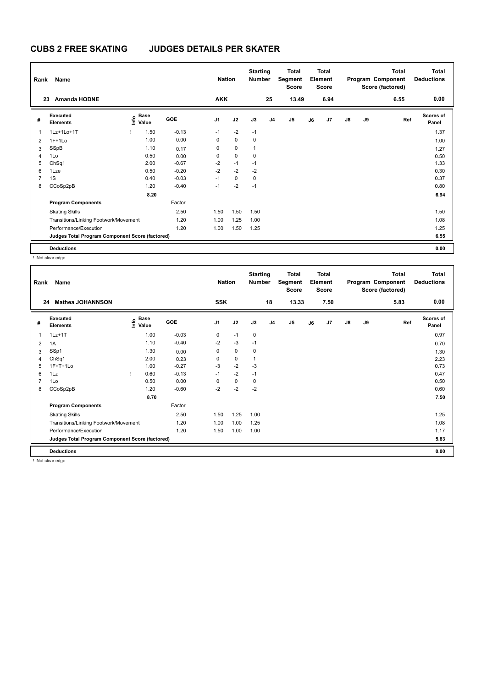| Rank           | Name                                            |      |                      |            | <b>Nation</b>  |             | <b>Starting</b><br><b>Number</b> |                | Total<br>Segment<br><b>Score</b> |    | <b>Total</b><br>Element<br>Score |               |    | <b>Total</b><br>Program Component<br>Score (factored) | Total<br><b>Deductions</b> |
|----------------|-------------------------------------------------|------|----------------------|------------|----------------|-------------|----------------------------------|----------------|----------------------------------|----|----------------------------------|---------------|----|-------------------------------------------------------|----------------------------|
| 23             | <b>Amanda HODNE</b>                             |      |                      |            | <b>AKK</b>     |             |                                  | 25             | 13.49                            |    | 6.94                             |               |    | 6.55                                                  | 0.00                       |
| #              | Executed<br><b>Elements</b>                     | Info | <b>Base</b><br>Value | <b>GOE</b> | J <sub>1</sub> | J2          | J3                               | J <sub>4</sub> | J <sub>5</sub>                   | J6 | J7                               | $\mathsf{J}8$ | J9 | Ref                                                   | <b>Scores of</b><br>Panel  |
|                | 1Lz+1Lo+1T                                      |      | 1.50                 | $-0.13$    | $-1$           | $-2$        | $-1$                             |                |                                  |    |                                  |               |    |                                                       | 1.37                       |
| $\overline{2}$ | $1F+1Lo$                                        |      | 1.00                 | 0.00       | 0              | $\mathbf 0$ | 0                                |                |                                  |    |                                  |               |    |                                                       | 1.00                       |
| 3              | SSpB                                            |      | 1.10                 | 0.17       | 0              | $\mathbf 0$ | 1                                |                |                                  |    |                                  |               |    |                                                       | 1.27                       |
| 4              | 1Lo                                             |      | 0.50                 | 0.00       | 0              | $\mathbf 0$ | 0                                |                |                                  |    |                                  |               |    |                                                       | 0.50                       |
| 5              | ChSq1                                           |      | 2.00                 | $-0.67$    | $-2$           | $-1$        | $-1$                             |                |                                  |    |                                  |               |    |                                                       | 1.33                       |
| 6              | 1Lze                                            |      | 0.50                 | $-0.20$    | $-2$           | $-2$        | $-2$                             |                |                                  |    |                                  |               |    |                                                       | 0.30                       |
| 7              | 1S                                              |      | 0.40                 | $-0.03$    | $-1$           | $\Omega$    | $\Omega$                         |                |                                  |    |                                  |               |    |                                                       | 0.37                       |
| 8              | CCoSp2pB                                        |      | 1.20                 | $-0.40$    | $-1$           | $-2$        | $-1$                             |                |                                  |    |                                  |               |    |                                                       | 0.80                       |
|                |                                                 |      | 8.20                 |            |                |             |                                  |                |                                  |    |                                  |               |    |                                                       | 6.94                       |
|                | <b>Program Components</b>                       |      |                      | Factor     |                |             |                                  |                |                                  |    |                                  |               |    |                                                       |                            |
|                | <b>Skating Skills</b>                           |      |                      | 2.50       | 1.50           | 1.50        | 1.50                             |                |                                  |    |                                  |               |    |                                                       | 1.50                       |
|                | Transitions/Linking Footwork/Movement           |      |                      | 1.20       | 1.00           | 1.25        | 1.00                             |                |                                  |    |                                  |               |    |                                                       | 1.08                       |
|                | Performance/Execution                           |      |                      | 1.20       | 1.00           | 1.50        | 1.25                             |                |                                  |    |                                  |               |    |                                                       | 1.25                       |
|                | Judges Total Program Component Score (factored) |      |                      |            |                |             |                                  |                |                                  |    |                                  |               |    |                                                       | 6.55                       |
|                | <b>Deductions</b>                               |      |                      |            |                |             |                                  |                |                                  |    |                                  |               |    |                                                       | 0.00                       |

! Not clear edge

| Rank           | Name                                            |                                             |         | <b>Nation</b>  |             | <b>Starting</b><br><b>Number</b> |                | Total<br>Segment<br><b>Score</b> |    | <b>Total</b><br>Element<br><b>Score</b> |               |    | <b>Total</b><br>Program Component<br>Score (factored) | Total<br><b>Deductions</b> |
|----------------|-------------------------------------------------|---------------------------------------------|---------|----------------|-------------|----------------------------------|----------------|----------------------------------|----|-----------------------------------------|---------------|----|-------------------------------------------------------|----------------------------|
| 24             | Mathea JOHANNSON                                |                                             |         | <b>SSK</b>     |             |                                  | 18             | 13.33                            |    | 7.50                                    |               |    | 5.83                                                  | 0.00                       |
| #              | Executed<br><b>Elements</b>                     | <b>Base</b><br>e <sup>Base</sup><br>⊆ Value | GOE     | J <sub>1</sub> | J2          | J3                               | J <sub>4</sub> | J5                               | J6 | J7                                      | $\mathsf{J}8$ | J9 | Ref                                                   | <b>Scores of</b><br>Panel  |
| 1              | $1Lz+1T$                                        | 1.00                                        | $-0.03$ | 0              | $-1$        | 0                                |                |                                  |    |                                         |               |    |                                                       | 0.97                       |
| 2              | 1A                                              | 1.10                                        | $-0.40$ | $-2$           | $-3$        | $-1$                             |                |                                  |    |                                         |               |    |                                                       | 0.70                       |
| 3              | SSp1                                            | 1.30                                        | 0.00    | $\Omega$       | $\mathbf 0$ | 0                                |                |                                  |    |                                         |               |    |                                                       | 1.30                       |
| 4              | ChSq1                                           | 2.00                                        | 0.23    | 0              | $\mathbf 0$ |                                  |                |                                  |    |                                         |               |    |                                                       | 2.23                       |
| 5              | $1F+T+1Lo$                                      | 1.00                                        | $-0.27$ | $-3$           | $-2$        | $-3$                             |                |                                  |    |                                         |               |    |                                                       | 0.73                       |
| 6              | 1Lz                                             | 0.60                                        | $-0.13$ | $-1$           | $-2$        | $-1$                             |                |                                  |    |                                         |               |    |                                                       | 0.47                       |
| $\overline{7}$ | 1Lo                                             | 0.50                                        | 0.00    | 0              | $\mathbf 0$ | 0                                |                |                                  |    |                                         |               |    |                                                       | 0.50                       |
| 8              | CCoSp2pB                                        | 1.20                                        | $-0.60$ | $-2$           | $-2$        | $-2$                             |                |                                  |    |                                         |               |    |                                                       | 0.60                       |
|                |                                                 | 8.70                                        |         |                |             |                                  |                |                                  |    |                                         |               |    |                                                       | 7.50                       |
|                | <b>Program Components</b>                       |                                             | Factor  |                |             |                                  |                |                                  |    |                                         |               |    |                                                       |                            |
|                | <b>Skating Skills</b>                           |                                             | 2.50    | 1.50           | 1.25        | 1.00                             |                |                                  |    |                                         |               |    |                                                       | 1.25                       |
|                | Transitions/Linking Footwork/Movement           |                                             | 1.20    | 1.00           | 1.00        | 1.25                             |                |                                  |    |                                         |               |    |                                                       | 1.08                       |
|                | Performance/Execution                           |                                             | 1.20    | 1.50           | 1.00        | 1.00                             |                |                                  |    |                                         |               |    |                                                       | 1.17                       |
|                | Judges Total Program Component Score (factored) |                                             |         |                |             |                                  |                |                                  |    |                                         |               |    |                                                       | 5.83                       |
|                | <b>Deductions</b>                               |                                             |         |                |             |                                  |                |                                  |    |                                         |               |    |                                                       | 0.00                       |

! Not clear edge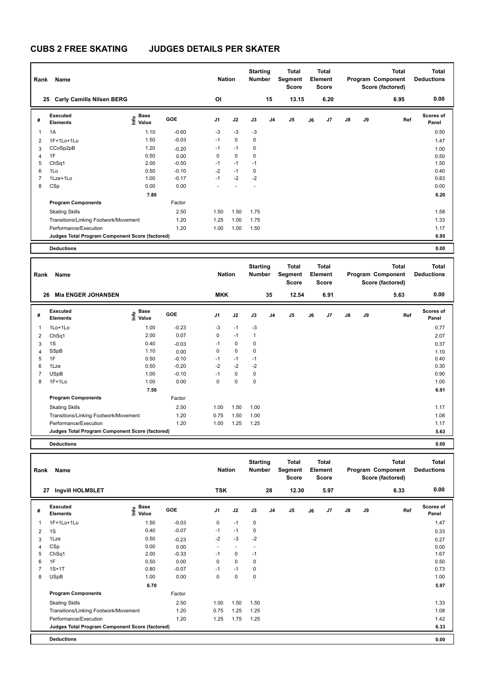| Rank                    | Name                                            |                              |         | <b>Nation</b> |             | <b>Starting</b><br>Number |                | <b>Total</b><br>Segment<br><b>Score</b> |    | Total<br>Element<br>Score |               |    | <b>Total</b><br>Program Component<br>Score (factored) | Total<br><b>Deductions</b> |
|-------------------------|-------------------------------------------------|------------------------------|---------|---------------|-------------|---------------------------|----------------|-----------------------------------------|----|---------------------------|---------------|----|-------------------------------------------------------|----------------------------|
|                         | <b>Carly Camilla Nilsen BERG</b><br>25          |                              |         | <b>OI</b>     |             |                           | 15             | 13.15                                   |    | 6.20                      |               |    | 6.95                                                  | 0.00                       |
| #                       | Executed<br><b>Elements</b>                     | <b>Base</b><br>١nfo<br>Value | GOE     | J1            | J2          | J3                        | J <sub>4</sub> | J <sub>5</sub>                          | J6 | J7                        | $\mathsf{J}8$ | J9 | Ref                                                   | <b>Scores of</b><br>Panel  |
| $\overline{\mathbf{1}}$ | 1A                                              | 1.10                         | $-0.60$ | $-3$          | $-3$        | $-3$                      |                |                                         |    |                           |               |    |                                                       | 0.50                       |
| $\overline{2}$          | $1F+1Lo+1Lo$                                    | 1.50                         | $-0.03$ | $-1$          | $\mathbf 0$ | $\mathbf 0$               |                |                                         |    |                           |               |    |                                                       | 1.47                       |
| 3                       | CCoSp2pB                                        | 1.20                         | $-0.20$ | $-1$          | $-1$        | 0                         |                |                                         |    |                           |               |    |                                                       | 1.00                       |
| 4                       | 1F                                              | 0.50                         | 0.00    | 0             | $\mathbf 0$ | 0                         |                |                                         |    |                           |               |    |                                                       | 0.50                       |
| 5                       | ChSq1                                           | 2.00                         | $-0.50$ | $-1$          | $-1$        | $-1$                      |                |                                         |    |                           |               |    |                                                       | 1.50                       |
| 6                       | 1Lo                                             | 0.50                         | $-0.10$ | $-2$          | $-1$        | $\mathbf 0$               |                |                                         |    |                           |               |    |                                                       | 0.40                       |
| $\overline{7}$          | 1Lze+1Lo                                        | 1.00                         | $-0.17$ | $-1$          | $-2$        | $-2$                      |                |                                         |    |                           |               |    |                                                       | 0.83                       |
| 8                       | CSp                                             | 0.00                         | 0.00    |               |             |                           |                |                                         |    |                           |               |    |                                                       | 0.00                       |
|                         |                                                 | 7.80                         |         |               |             |                           |                |                                         |    |                           |               |    |                                                       | 6.20                       |
|                         | <b>Program Components</b>                       |                              | Factor  |               |             |                           |                |                                         |    |                           |               |    |                                                       |                            |
|                         | <b>Skating Skills</b>                           |                              | 2.50    | 1.50          | 1.50        | 1.75                      |                |                                         |    |                           |               |    |                                                       | 1.58                       |
|                         | Transitions/Linking Footwork/Movement           |                              | 1.20    | 1.25          | 1.00        | 1.75                      |                |                                         |    |                           |               |    |                                                       | 1.33                       |
|                         | Performance/Execution                           |                              | 1.20    | 1.00          | 1.00        | 1.50                      |                |                                         |    |                           |               |    |                                                       | 1.17                       |
|                         | Judges Total Program Component Score (factored) |                              |         |               |             |                           |                |                                         |    |                           |               |    |                                                       | 6.95                       |
|                         | <b>Deductions</b>                               |                              |         |               |             |                           |                |                                         |    |                           |               |    |                                                       | 0.00                       |

| Rank           | Name                                            |                                  |         | <b>Nation</b>  |             | <b>Starting</b><br><b>Number</b> |                | Total<br>Segment<br><b>Score</b> |    | <b>Total</b><br>Element<br><b>Score</b> |               |    | <b>Total</b><br>Program Component<br>Score (factored) | <b>Total</b><br><b>Deductions</b> |
|----------------|-------------------------------------------------|----------------------------------|---------|----------------|-------------|----------------------------------|----------------|----------------------------------|----|-----------------------------------------|---------------|----|-------------------------------------------------------|-----------------------------------|
| 26             | <b>Mia ENGER JOHANSEN</b>                       |                                  |         | <b>MKK</b>     |             |                                  | 35             | 12.54                            |    | 6.91                                    |               |    | 5.63                                                  | 0.00                              |
| #              | Executed<br><b>Elements</b>                     | <b>Base</b><br>o Base<br>⊆ Value | GOE     | J <sub>1</sub> | J2          | J3                               | J <sub>4</sub> | J <sub>5</sub>                   | J6 | J <sub>7</sub>                          | $\mathsf{J}8$ | J9 | Ref                                                   | Scores of<br>Panel                |
| 1              | 1Lo+1Lo                                         | 1.00                             | $-0.23$ | $-3$           | $-1$        | $-3$                             |                |                                  |    |                                         |               |    |                                                       | 0.77                              |
| $\overline{2}$ | ChSq1                                           | 2.00                             | 0.07    | 0              | $-1$        | $\mathbf{1}$                     |                |                                  |    |                                         |               |    |                                                       | 2.07                              |
| 3              | 1S                                              | 0.40                             | $-0.03$ | $-1$           | $\mathbf 0$ | $\mathbf 0$                      |                |                                  |    |                                         |               |    |                                                       | 0.37                              |
| 4              | SSpB                                            | 1.10                             | 0.00    | 0              | $\mathbf 0$ | $\mathbf 0$                      |                |                                  |    |                                         |               |    |                                                       | 1.10                              |
| 5              | 1F                                              | 0.50                             | $-0.10$ | $-1$           | $-1$        | $-1$                             |                |                                  |    |                                         |               |    |                                                       | 0.40                              |
| 6              | 1Lze                                            | 0.50                             | $-0.20$ | $-2$           | $-2$        | $-2$                             |                |                                  |    |                                         |               |    |                                                       | 0.30                              |
| $\overline{7}$ | <b>USpB</b>                                     | 1.00                             | $-0.10$ | $-1$           | $\mathbf 0$ | $\mathbf 0$                      |                |                                  |    |                                         |               |    |                                                       | 0.90                              |
| 8              | $1F+1Lo$                                        | 1.00                             | 0.00    | 0              | $\mathbf 0$ | $\mathbf 0$                      |                |                                  |    |                                         |               |    |                                                       | 1.00                              |
|                |                                                 | 7.50                             |         |                |             |                                  |                |                                  |    |                                         |               |    |                                                       | 6.91                              |
|                | <b>Program Components</b>                       |                                  | Factor  |                |             |                                  |                |                                  |    |                                         |               |    |                                                       |                                   |
|                | <b>Skating Skills</b>                           |                                  | 2.50    | 1.00           | 1.50        | 1.00                             |                |                                  |    |                                         |               |    |                                                       | 1.17                              |
|                | Transitions/Linking Footwork/Movement           |                                  | 1.20    | 0.75           | 1.50        | 1.00                             |                |                                  |    |                                         |               |    |                                                       | 1.08                              |
|                | Performance/Execution                           |                                  | 1.20    | 1.00           | 1.25        | 1.25                             |                |                                  |    |                                         |               |    |                                                       | 1.17                              |
|                | Judges Total Program Component Score (factored) |                                  |         |                |             |                                  |                |                                  |    |                                         |               |    |                                                       | 5.63                              |
|                | <b>Deductions</b>                               |                                  |         |                |             |                                  |                |                                  |    |                                         |               |    |                                                       | 0.00                              |

| Rank | Name                                            |                                           |            | <b>Nation</b>  |                          | <b>Starting</b><br><b>Number</b> |                | <b>Total</b><br>Segment<br><b>Score</b> |    | Total<br>Element<br><b>Score</b> |               |    | <b>Total</b><br>Program Component<br>Score (factored) | <b>Total</b><br><b>Deductions</b> |
|------|-------------------------------------------------|-------------------------------------------|------------|----------------|--------------------------|----------------------------------|----------------|-----------------------------------------|----|----------------------------------|---------------|----|-------------------------------------------------------|-----------------------------------|
| 27   | Ingvill HOLMSLET                                |                                           |            | <b>TSK</b>     |                          |                                  | 28             | 12.30                                   |    | 5.97                             |               |    | 6.33                                                  | 0.00                              |
| #    | Executed<br><b>Elements</b>                     | $\frac{e}{E}$ Base<br>$\frac{e}{E}$ Value | <b>GOE</b> | J <sub>1</sub> | J2                       | J3                               | J <sub>4</sub> | J <sub>5</sub>                          | J6 | J7                               | $\mathsf{J}8$ | J9 | Ref                                                   | <b>Scores of</b><br>Panel         |
| 1    | 1F+1Lo+1Lo                                      | 1.50                                      | $-0.03$    | 0              | $-1$                     | 0                                |                |                                         |    |                                  |               |    |                                                       | 1.47                              |
| 2    | 1S                                              | 0.40                                      | $-0.07$    | $-1$           | $-1$                     | 0                                |                |                                         |    |                                  |               |    |                                                       | 0.33                              |
| 3    | 1Lze                                            | 0.50                                      | $-0.23$    | $-2$           | $-3$                     | $-2$                             |                |                                         |    |                                  |               |    |                                                       | 0.27                              |
| 4    | CSp                                             | 0.00                                      | 0.00       | ٠              | $\overline{\phantom{a}}$ |                                  |                |                                         |    |                                  |               |    |                                                       | 0.00                              |
| 5    | ChSq1                                           | 2.00                                      | $-0.33$    | $-1$           | $\mathbf 0$              | $-1$                             |                |                                         |    |                                  |               |    |                                                       | 1.67                              |
| 6    | 1F                                              | 0.50                                      | 0.00       | $\mathbf 0$    | $\mathbf 0$              | 0                                |                |                                         |    |                                  |               |    |                                                       | 0.50                              |
|      | $1S+1T$                                         | 0.80                                      | $-0.07$    | $-1$           | $-1$                     | 0                                |                |                                         |    |                                  |               |    |                                                       | 0.73                              |
| 8    | <b>USpB</b>                                     | 1.00                                      | 0.00       | 0              | $\mathbf 0$              | 0                                |                |                                         |    |                                  |               |    |                                                       | 1.00                              |
|      |                                                 | 6.70                                      |            |                |                          |                                  |                |                                         |    |                                  |               |    |                                                       | 5.97                              |
|      | <b>Program Components</b>                       |                                           | Factor     |                |                          |                                  |                |                                         |    |                                  |               |    |                                                       |                                   |
|      | <b>Skating Skills</b>                           |                                           | 2.50       | 1.00           | 1.50                     | 1.50                             |                |                                         |    |                                  |               |    |                                                       | 1.33                              |
|      | Transitions/Linking Footwork/Movement           |                                           | 1.20       | 0.75           | 1.25                     | 1.25                             |                |                                         |    |                                  |               |    |                                                       | 1.08                              |
|      | Performance/Execution                           |                                           | 1.20       | 1.25           | 1.75                     | 1.25                             |                |                                         |    |                                  |               |    |                                                       | 1.42                              |
|      | Judges Total Program Component Score (factored) |                                           |            |                |                          |                                  |                |                                         |    |                                  |               |    |                                                       | 6.33                              |
|      | <b>Deductions</b>                               |                                           |            |                |                          |                                  |                |                                         |    |                                  |               |    |                                                       | 0.00                              |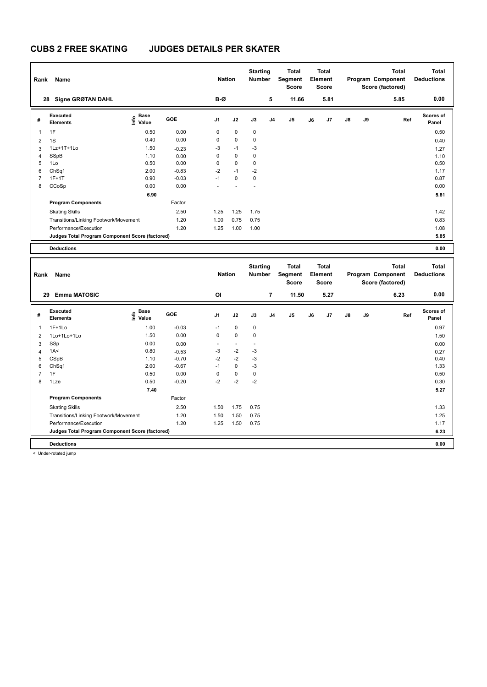| Rank           | Name                                            |                                  |            | <b>Nation</b>  |             | <b>Starting</b><br><b>Number</b> |                | Total<br>Segment<br>Score |    | <b>Total</b><br>Element<br><b>Score</b> |               |    | <b>Total</b><br>Program Component<br>Score (factored) | <b>Total</b><br><b>Deductions</b> |
|----------------|-------------------------------------------------|----------------------------------|------------|----------------|-------------|----------------------------------|----------------|---------------------------|----|-----------------------------------------|---------------|----|-------------------------------------------------------|-----------------------------------|
|                | <b>Signe GRØTAN DAHL</b><br>28                  |                                  |            | B-Ø            |             |                                  | 5              | 11.66                     |    | 5.81                                    |               |    | 5.85                                                  | 0.00                              |
| #              | Executed<br><b>Elements</b>                     | <b>Base</b><br>e Base<br>⊆ Value | <b>GOE</b> | J <sub>1</sub> | J2          | J3                               | J <sub>4</sub> | J <sub>5</sub>            | J6 | J7                                      | $\mathsf{J}8$ | J9 | Ref                                                   | <b>Scores of</b><br>Panel         |
| 1              | 1F                                              | 0.50                             | 0.00       | 0              | $\mathbf 0$ | $\mathbf 0$                      |                |                           |    |                                         |               |    |                                                       | 0.50                              |
| $\overline{2}$ | 1S                                              | 0.40                             | 0.00       | 0              | $\mathbf 0$ | 0                                |                |                           |    |                                         |               |    |                                                       | 0.40                              |
| 3              | 1Lz+1T+1Lo                                      | 1.50                             | $-0.23$    | -3             | $-1$        | -3                               |                |                           |    |                                         |               |    |                                                       | 1.27                              |
| 4              | SSpB                                            | 1.10                             | 0.00       | 0              | $\mathbf 0$ | 0                                |                |                           |    |                                         |               |    |                                                       | 1.10                              |
| 5              | 1Lo                                             | 0.50                             | 0.00       | 0              | $\mathbf 0$ | 0                                |                |                           |    |                                         |               |    |                                                       | 0.50                              |
| 6              | ChSq1                                           | 2.00                             | $-0.83$    | $-2$           | $-1$        | $-2$                             |                |                           |    |                                         |               |    |                                                       | 1.17                              |
| $\overline{7}$ | $1F+1T$                                         | 0.90                             | $-0.03$    | $-1$           | $\mathbf 0$ | 0                                |                |                           |    |                                         |               |    |                                                       | 0.87                              |
| 8              | CCoSp                                           | 0.00                             | 0.00       |                |             |                                  |                |                           |    |                                         |               |    |                                                       | 0.00                              |
|                |                                                 | 6.90                             |            |                |             |                                  |                |                           |    |                                         |               |    |                                                       | 5.81                              |
|                | <b>Program Components</b>                       |                                  | Factor     |                |             |                                  |                |                           |    |                                         |               |    |                                                       |                                   |
|                | <b>Skating Skills</b>                           |                                  | 2.50       | 1.25           | 1.25        | 1.75                             |                |                           |    |                                         |               |    |                                                       | 1.42                              |
|                | Transitions/Linking Footwork/Movement           |                                  | 1.20       | 1.00           | 0.75        | 0.75                             |                |                           |    |                                         |               |    |                                                       | 0.83                              |
|                | Performance/Execution                           |                                  | 1.20       | 1.25           | 1.00        | 1.00                             |                |                           |    |                                         |               |    |                                                       | 1.08                              |
|                | Judges Total Program Component Score (factored) |                                  |            |                |             |                                  |                |                           |    |                                         |               |    |                                                       | 5.85                              |
|                | <b>Deductions</b>                               |                                  |            |                |             |                                  |                |                           |    |                                         |               |    |                                                       | 0.00                              |

**Total Deductions Total Program Component Score (factored) Total Element Score Total Segment Score Starting Rank Name Nation Number # Executed Elements Base Value GOE J1 J2 J3 J4 J5 J6 J7 J8 J9 Scores of Panel** 1 1.00 -0.03 -1 0 0 **Ref**  1F+1Lo 0.97 **Info 29 Emma MATOSIC OI 7 11.50 5.27 6.23 0.00** 2 1Lo+1Lo+1Lo 1.50 0.00 0 0 0 1.50  $3$  SSp  $0.00$   $0.00$   $0.00$   $0.00$   $0.00$   $0.00$   $0.00$   $0.00$   $0.00$   $0.00$   $0.00$   $0.00$   $0.00$   $0.00$   $0.00$   $0.00$   $0.00$   $0.00$   $0.00$   $0.00$   $0.00$   $0.00$   $0.00$   $0.00$   $0.00$   $0.00$   $0.00$   $0.00$   $0.00$   $0.00$   $0.$ 4 1A< 0.80 -0.53 -3 -2 -3 0.27 5 CSpB 1.10 -0.70 -2 -2 -3 0.40 6 ChSq1 2.00 -0.67 -1 0 -3 1.33 7 1F 0.50 0.00 0 0 0 0.50 8 1Lze 0.50 -0.20 -2 -2 -2 0.30  **7.40 5.27 Program Components**  Skating Skills 1.50 1.75 0.75 Factor 2.50 1.33 Transitions/Linking Footwork/Movement 1.20 1.50 1.50 0.75 1.25 Performance/Execution 1.20 1.25 1.50 0.75 1.17 **Deductions 0.00 Judges Total Program Component Score (factored) 6.23**

< Under-rotated jump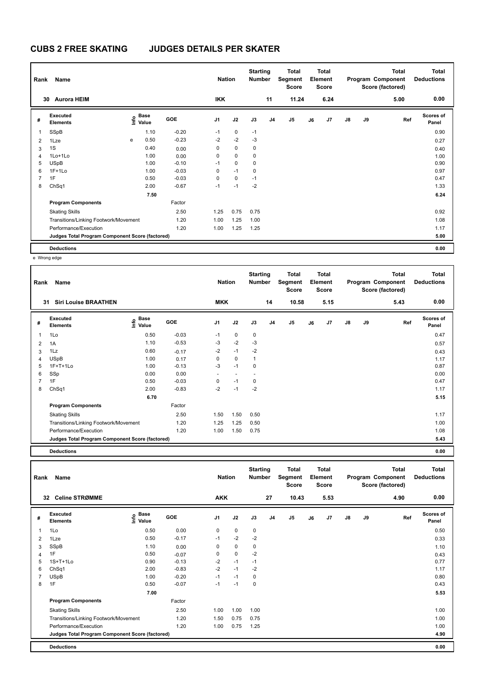| Rank           | Name                                            |   |                                  |            | <b>Nation</b>  |             | <b>Starting</b><br><b>Number</b> |                | <b>Total</b><br>Segment<br><b>Score</b> |    | Total<br>Element<br><b>Score</b> |               |    | <b>Total</b><br>Program Component<br>Score (factored) | <b>Total</b><br><b>Deductions</b> |
|----------------|-------------------------------------------------|---|----------------------------------|------------|----------------|-------------|----------------------------------|----------------|-----------------------------------------|----|----------------------------------|---------------|----|-------------------------------------------------------|-----------------------------------|
| 30             | <b>Aurora HEIM</b>                              |   |                                  |            | <b>IKK</b>     |             |                                  | 11             | 11.24                                   |    | 6.24                             |               |    | 5.00                                                  | 0.00                              |
| #              | Executed<br><b>Elements</b>                     |   | <b>Base</b><br>o Base<br>⊆ Value | <b>GOE</b> | J <sub>1</sub> | J2          | J3                               | J <sub>4</sub> | J5                                      | J6 | J7                               | $\mathsf{J}8$ | J9 | Ref                                                   | <b>Scores of</b><br>Panel         |
| $\overline{1}$ | SSpB                                            |   | 1.10                             | $-0.20$    | $-1$           | $\mathbf 0$ | $-1$                             |                |                                         |    |                                  |               |    |                                                       | 0.90                              |
| $\overline{2}$ | 1Lze                                            | e | 0.50                             | $-0.23$    | $-2$           | $-2$        | $-3$                             |                |                                         |    |                                  |               |    |                                                       | 0.27                              |
| 3              | 1S                                              |   | 0.40                             | 0.00       | 0              | $\mathbf 0$ | 0                                |                |                                         |    |                                  |               |    |                                                       | 0.40                              |
| $\overline{4}$ | 1Lo+1Lo                                         |   | 1.00                             | 0.00       | 0              | $\mathbf 0$ | 0                                |                |                                         |    |                                  |               |    |                                                       | 1.00                              |
| 5              | <b>USpB</b>                                     |   | 1.00                             | $-0.10$    | $-1$           | $\mathbf 0$ | 0                                |                |                                         |    |                                  |               |    |                                                       | 0.90                              |
| 6              | $1F+1Lo$                                        |   | 1.00                             | $-0.03$    | 0              | $-1$        | 0                                |                |                                         |    |                                  |               |    |                                                       | 0.97                              |
| $\overline{7}$ | 1F                                              |   | 0.50                             | $-0.03$    | 0              | 0           | $-1$                             |                |                                         |    |                                  |               |    |                                                       | 0.47                              |
| 8              | ChSq1                                           |   | 2.00                             | $-0.67$    | $-1$           | $-1$        | $-2$                             |                |                                         |    |                                  |               |    |                                                       | 1.33                              |
|                |                                                 |   | 7.50                             |            |                |             |                                  |                |                                         |    |                                  |               |    |                                                       | 6.24                              |
|                | <b>Program Components</b>                       |   |                                  | Factor     |                |             |                                  |                |                                         |    |                                  |               |    |                                                       |                                   |
|                | <b>Skating Skills</b>                           |   |                                  | 2.50       | 1.25           | 0.75        | 0.75                             |                |                                         |    |                                  |               |    |                                                       | 0.92                              |
|                | Transitions/Linking Footwork/Movement           |   |                                  | 1.20       | 1.00           | 1.25        | 1.00                             |                |                                         |    |                                  |               |    |                                                       | 1.08                              |
|                | Performance/Execution                           |   |                                  | 1.20       | 1.00           | 1.25        | 1.25                             |                |                                         |    |                                  |               |    |                                                       | 1.17                              |
|                | Judges Total Program Component Score (factored) |   |                                  |            |                |             |                                  |                |                                         |    |                                  |               |    |                                                       | 5.00                              |
|                | <b>Deductions</b>                               |   |                                  |            |                |             |                                  |                |                                         |    |                                  |               |    |                                                       | 0.00                              |

e Wrong edge

| Rank           | Name                                            |                              |         | <b>Nation</b>  |                          | <b>Starting</b><br><b>Number</b> |                | Total<br>Segment<br><b>Score</b> |    | <b>Total</b><br>Element<br><b>Score</b> |               |    | <b>Total</b><br>Program Component<br>Score (factored) | <b>Total</b><br><b>Deductions</b> |
|----------------|-------------------------------------------------|------------------------------|---------|----------------|--------------------------|----------------------------------|----------------|----------------------------------|----|-----------------------------------------|---------------|----|-------------------------------------------------------|-----------------------------------|
|                | <b>Siri Louise BRAATHEN</b><br>31               |                              |         | <b>MKK</b>     |                          |                                  | 14             | 10.58                            |    | 5.15                                    |               |    | 5.43                                                  | 0.00                              |
| #              | Executed<br><b>Elements</b>                     | <b>Base</b><br>١nfo<br>Value | GOE     | J <sub>1</sub> | J2                       | J3                               | J <sub>4</sub> | J <sub>5</sub>                   | J6 | J7                                      | $\mathsf{J}8$ | J9 | Ref                                                   | <b>Scores of</b><br>Panel         |
| $\mathbf{1}$   | 1Lo                                             | 0.50                         | $-0.03$ | $-1$           | 0                        | 0                                |                |                                  |    |                                         |               |    |                                                       | 0.47                              |
| $\overline{2}$ | 1A                                              | 1.10                         | $-0.53$ | $-3$           | $-2$                     | $-3$                             |                |                                  |    |                                         |               |    |                                                       | 0.57                              |
| 3              | 1Lz                                             | 0.60                         | $-0.17$ | $-2$           | $-1$                     | $-2$                             |                |                                  |    |                                         |               |    |                                                       | 0.43                              |
| 4              | <b>USpB</b>                                     | 1.00                         | 0.17    | 0              | 0                        |                                  |                |                                  |    |                                         |               |    |                                                       | 1.17                              |
| 5              | $1F+T+1Lo$                                      | 1.00                         | $-0.13$ | $-3$           | $-1$                     | 0                                |                |                                  |    |                                         |               |    |                                                       | 0.87                              |
| 6              | SSp                                             | 0.00                         | 0.00    | $\sim$         | $\overline{\phantom{a}}$ |                                  |                |                                  |    |                                         |               |    |                                                       | 0.00                              |
| 7              | 1F                                              | 0.50                         | $-0.03$ | $\Omega$       | $-1$                     | 0                                |                |                                  |    |                                         |               |    |                                                       | 0.47                              |
| 8              | ChSq1                                           | 2.00                         | $-0.83$ | $-2$           | $-1$                     | $-2$                             |                |                                  |    |                                         |               |    |                                                       | 1.17                              |
|                |                                                 | 6.70                         |         |                |                          |                                  |                |                                  |    |                                         |               |    |                                                       | 5.15                              |
|                | <b>Program Components</b>                       |                              | Factor  |                |                          |                                  |                |                                  |    |                                         |               |    |                                                       |                                   |
|                | <b>Skating Skills</b>                           |                              | 2.50    | 1.50           | 1.50                     | 0.50                             |                |                                  |    |                                         |               |    |                                                       | 1.17                              |
|                | Transitions/Linking Footwork/Movement           |                              | 1.20    | 1.25           | 1.25                     | 0.50                             |                |                                  |    |                                         |               |    |                                                       | 1.00                              |
|                | Performance/Execution                           |                              | 1.20    | 1.00           | 1.50                     | 0.75                             |                |                                  |    |                                         |               |    |                                                       | 1.08                              |
|                | Judges Total Program Component Score (factored) |                              |         |                |                          |                                  |                |                                  |    |                                         |               |    |                                                       | 5.43                              |

| Rank           | Name                                            |                              |         | <b>Nation</b>  |             | <b>Starting</b><br><b>Number</b> |                | <b>Total</b><br>Segment<br><b>Score</b> |    | <b>Total</b><br>Element<br><b>Score</b> |               |    | <b>Total</b><br>Program Component<br>Score (factored) | <b>Total</b><br><b>Deductions</b> |
|----------------|-------------------------------------------------|------------------------------|---------|----------------|-------------|----------------------------------|----------------|-----------------------------------------|----|-----------------------------------------|---------------|----|-------------------------------------------------------|-----------------------------------|
|                | <b>Celine STRØMME</b><br>32                     |                              |         | <b>AKK</b>     |             |                                  | 27             | 10.43                                   |    | 5.53                                    |               |    | 4.90                                                  | 0.00                              |
| #              | Executed<br><b>Elements</b>                     | <b>Base</b><br>Info<br>Value | GOE     | J <sub>1</sub> | J2          | J3                               | J <sub>4</sub> | J <sub>5</sub>                          | J6 | J7                                      | $\mathsf{J}8$ | J9 | Ref                                                   | Scores of<br>Panel                |
| $\mathbf{1}$   | 1Lo                                             | 0.50                         | 0.00    | 0              | $\mathbf 0$ | $\mathbf 0$                      |                |                                         |    |                                         |               |    |                                                       | 0.50                              |
| $\overline{2}$ | 1Lze                                            | 0.50                         | $-0.17$ | $-1$           | $-2$        | $-2$                             |                |                                         |    |                                         |               |    |                                                       | 0.33                              |
| 3              | SSpB                                            | 1.10                         | 0.00    | 0              | $\mathbf 0$ | 0                                |                |                                         |    |                                         |               |    |                                                       | 1.10                              |
| 4              | 1F                                              | 0.50                         | $-0.07$ | 0              | $\mathbf 0$ | $-2$                             |                |                                         |    |                                         |               |    |                                                       | 0.43                              |
| 5              | $1S+T+1Lo$                                      | 0.90                         | $-0.13$ | $-2$           | $-1$        | $-1$                             |                |                                         |    |                                         |               |    |                                                       | 0.77                              |
| 6              | ChSq1                                           | 2.00                         | $-0.83$ | $-2$           | $-1$        | $-2$                             |                |                                         |    |                                         |               |    |                                                       | 1.17                              |
| $\overline{7}$ | <b>USpB</b>                                     | 1.00                         | $-0.20$ | $-1$           | $-1$        | $\mathbf 0$                      |                |                                         |    |                                         |               |    |                                                       | 0.80                              |
| 8              | 1F                                              | 0.50                         | $-0.07$ | $-1$           | $-1$        | 0                                |                |                                         |    |                                         |               |    |                                                       | 0.43                              |
|                |                                                 | 7.00                         |         |                |             |                                  |                |                                         |    |                                         |               |    |                                                       | 5.53                              |
|                | <b>Program Components</b>                       |                              | Factor  |                |             |                                  |                |                                         |    |                                         |               |    |                                                       |                                   |
|                | <b>Skating Skills</b>                           |                              | 2.50    | 1.00           | 1.00        | 1.00                             |                |                                         |    |                                         |               |    |                                                       | 1.00                              |
|                | Transitions/Linking Footwork/Movement           |                              | 1.20    | 1.50           | 0.75        | 0.75                             |                |                                         |    |                                         |               |    |                                                       | 1.00                              |
|                | Performance/Execution                           |                              | 1.20    | 1.00           | 0.75        | 1.25                             |                |                                         |    |                                         |               |    |                                                       | 1.00                              |
|                | Judges Total Program Component Score (factored) |                              |         |                |             |                                  |                |                                         |    |                                         |               |    |                                                       | 4.90                              |
|                | <b>Deductions</b>                               |                              |         |                |             |                                  |                |                                         |    |                                         |               |    |                                                       | 0.00                              |